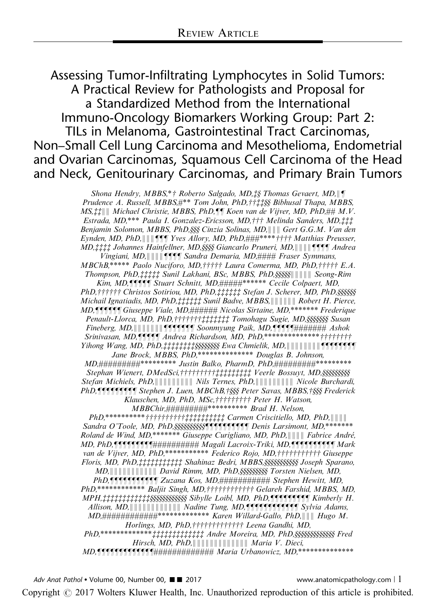Assessing Tumor-Infiltrating Lymphocytes in Solid Tumors: A Practical Review for Pathologists and Proposal for a Standardized Method from the International Immuno-Oncology Biomarkers Working Group: Part 2: TILs in Melanoma, Gastrointestinal Tract Carcinomas, Non–Small Cell Lung Carcinoma and Mesothelioma, Endometrial and Ovarian Carcinomas, Squamous Cell Carcinoma of the Head and Neck, Genitourinary Carcinomas, and Primary Brain Tumors

> Shona Hendry, MBBS,\*† Roberto Salgado, MD,‡§ Thomas Gevaert, MD,\\[\] Prudence A. Russell, MBBS,#\*\* Tom John, PhD,††‡‡§§ Bibhusal Thapa, MBBS,  $MS, \ddagger \ddagger \| \|$  Michael Christie, MBBS, PhD, $\P$  $\parallel$  Koen van de Vijver, MD, PhD, $\# \# M.V.$ Estrada, MD,\*\*\* Paula I. Gonzalez-Ericsson, MD,††† Melinda Sanders, MD,‡‡‡ Benjamin Solomon, MBBS, PhD, §§§ Cinzia Solinas, MD, || || Gert G.G.M. Van den Eynden, MD, PhD,  $\|\|\|\P\|$  Yves Allory, MD, PhD,  $\#$ ##\*\*\*\*\*\*\*\*\*\*\* Matthias Preusser,  $MD, \ddagger \ddagger \ddagger \ddagger$  Johannes Hainfellner, MD, SSSS Giancarlo Pruneri, MD,  $\|\|\|\|\P\|\P\|$  Andrea Vingiani, MD, $\|\|\|\|\int f\|f\|$  Sandra Demaria, MD,#### Fraser Symmans,  $MBChB^{****}$  Paolo Nuciforo, MD,  $\uparrow\uparrow\uparrow\uparrow\uparrow$  Laura Comerma, MD, PhD,  $\uparrow\uparrow\uparrow\uparrow\uparrow$  E.A. Thompson, PhD, #### Sunil Lakhani, BSc, MBBS, PhD, \$\$\$\$\$||||||||||||| Seong-Rim Kim, MD, THIT Stuart Schnitt, MD, #####\*\*\*\*\*\* Cecile Colpaert, MD, PhD, †††††† Christos Sotiriou, MD, PhD, ‡‡‡‡‡‡ Stefan J. Scherer, MD, PhD, §§§§§§ Michail Ignatiadis, MD, PhD,zzzzzz Sunil Badve, MBBS,888888 Robert H. Pierce, MD, TITTT Giuseppe Viale, MD, ###### Nicolas Sirtaine, MD,\*\*\*\*\*\*\* Frederique Penault-Llorca, MD, PhD, †††††††‡‡‡‡‡‡‡ Tomohagu Sugie, MD,§§§§§§§ Susan Fineberg, MD,8888888zzzzzzz Soonmyung Paik, MD,zzzzz####### Ashok Srinivasan, MD, TTTT Andrea Richardson, MD, PhD,\*\*\*\*\*\*\*\*\*\*\*\*\*\*\*\*\*\*\*\*\*\*\*\*\*\*\*\*\*\*\*\* Yihong Wang, MD, PhD,  $\ddagger \ddagger \ddagger \ddagger \ddagger \ddagger \ddagger \ddagger \dot{\xi} \xi$ SSSSSSSSS Ewa Chmielik, MD,  $|| || || || || || || ||$ Jane Brock, MBBS, PhD,\*\*\*\*\*\*\*\*\*\*\*\*\*\* Douglas B. Johnson, MD,##########\*\*\*\*\*\*\*\*\*\*\*\*\* Justin Balko, PharmD, PhD,##########\*\*\*\*\*\*\*\*\*\* Stephan Wienert, DMedSci,††††††††††‡‡‡‡‡‡‡‡‡ Veerle Bossuyt, MD, §§§§§§§§§§§ Stefan Michiels, PhD,888888888 Nils Ternes, PhD,888888888 Nicole Burchardi, PhD, **JATALATA Stephen J. Luen, MBChB,** †§§§ Peter Savas, MBBS, †§§§ Frederick Klauschen, MD, PhD, MSc,  $\uparrow\uparrow\uparrow\uparrow\uparrow\uparrow\uparrow\uparrow$  Peter H. Watson, MBBChir,#########\*\*\*\*\*\*\*\*\*\* Brad H. Nelson, PhD,\*\*\*\*\*\*\*\*\*\*wwwwwwwwwwzzzzzzzzzz Carmen Criscitiello, MD, PhD,8888 Sandra O'Toole, MD, PhD, SSSSSSSSSSS THE LOTEL Denis Larsimont, MD, \*\*\*\*\*\*\*\* Roland de Wind, MD,\*\*\*\*\*\*\* Giuseppe Curigliano, MD, PhD, || || || Fabrice André, MD, PhD, TTTTTTTTTT########### Magali Lacroix-Triki, MD, TTTTTTTTTTM Mark van de Vijver, MD, PhD,\*\*\*\*\*\*\*\*\*\*\*\* Federico Rojo, MD,†††††††††† Giuseppe Floris, MD, PhD, ########## Shahinaz Bedri, MBBS, §§§§§§§§§§§§§§ Joseph Sparano, MD, || || || || || || || || || || David Rimm, MD, PhD, §§§§§§§§§§§ Torsten Nielsen, MD, PhD, THINTHING Zuzana Kos, MD, ########### Stephen Hewitt, MD, PhD,\*\*\*\*\*\*\*\*\*\*\*\*\*\* Baljit Singh, MD,†††††††††††† Gelareh Farshid, MBBS, MD, MPH,zzzzzzzzzzzzyyyyyyyyyyyy Sibylle Loibl, MD, PhD,zzzzzzzzz Kimberly H. Allison, MD,  $\| \| \| \| \| \| \| \| \|$  Nadine Tung, MD,  $\|$  **Times Tung** Sylvia Adams, MD,############\*\*\*\*\*\*\*\*\*\*\*\*\* Karen Willard-Gallo, PhD,888 Hugo M. Horlings, MD, PhD, ††††††††††††† Leena Gandhi, MD, PhD,\*\*\*\*\*\*\*\*\*\*\*\*\*zzzzzzzzzzzzz Andre Moreira, MD, PhD,yyyyyyyyyyyyy Fred Hirsch, MD, PhD,  $\|\|\|\|\|\|\|\|\|\|\|\|\|$  Maria V. Dieci,  $MD$ ,  $\int_{\mathbb{R}}$   $\int_{\mathbb{R}}$   $\int_{\mathbb{R}}$   $\int_{\mathbb{R}}$   $\int_{\mathbb{R}}$   $\int_{\mathbb{R}}$   $\int_{\mathbb{R}}$   $\int_{\mathbb{R}}$   $\int_{\mathbb{R}}$   $\int_{\mathbb{R}}$   $\int_{\mathbb{R}}$   $\int_{\mathbb{R}}$   $\int_{\mathbb{R}}$   $\int_{\mathbb{R}}$   $\int_{\mathbb{R}}$   $\int_{\mathbb{R}}$   $\int_{\mathbb{R}}$   $\int_{\mathbb{R}}$

Copyright © 2017 Wolters Kluwer Health, Inc. Unauthorized reproduction of this article is prohibited.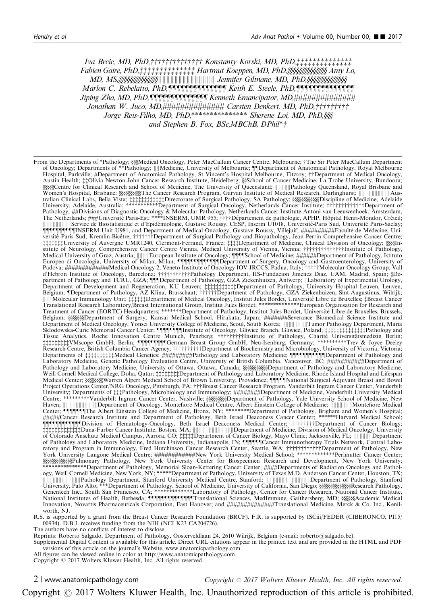Iva Brcic, MD, PhD,††††††††††††††† Konstanty Korski, MD, PhD,‡‡‡‡‡‡‡‡‡‡‡‡ Fabien Gaire, PhD,zzzzzzzzzzzzzz Hartmut Koeppen, MD, PhD,yyyyyyyyyyyyyy Amy Lo, MD, MS,yyyyyyyyyyyyyy88888888888888 Jennifer Giltnane, MD, PhD,yyyyyyyyyyyyyy Marlon C. Rebelatto, PhD,zzzzzzzzzzzzzz Keith E. Steele, PhD,zzzzzzzzzzzzzz Jiping Zha, MD, PhD,zzzzzzzzzzzzzz Kenneth Emancipator, MD,############## Jonathan W. Juco, MD,############### Carsten Denkert, MD, PhD,†††††††† Jorge Reis-Filho, MD, PhD,\*\*\*\*\*\*\*\*\*\*\*\*\*\*\* Sherene Loi, MD, PhD, SSS and Stephen B. Fox, BSc, MBChB, DPhil\*  $\dagger$ 

From the Departments of \*Pathology; \$\$\$Medical Oncology, Peter MacCallum Cancer Centre, Melbourne; †The Sir Peter MacCallum Department<br>of Oncology; Departments of \*\*Pathology; |||Medicine, University of Melbourne; †|[Depar Hospital, Parkville; #Department of Anatomical Pathology, St Vincent's Hospital Melbourne, Fitzroy; ††Department of Medical Oncology, Austin Health; ##Olivia Newton-John Cancer Research Institute, Heidelberg; §§School of Cancer Medicine, La Trobe University, Bundoora; yyyyyCentre for Clinical Research and School of Medicine, The University of Queensland; 88888Pathology Queensland, Royal Brisbane and Women's Hospital, Brisbane; yyyyyyyyyyThe Cancer Research Program, Garvan Institute of Medical Research, Darlinghurst; 8888888888Aus-tralian Clinical Labs, Bella Vista; zzzzzzzzzzzzDirectorate of Surgical Pathology, SA Pathology; yyyyyyyyyyyyDiscipline of Medicine, Adelaide University, Adelaide, Australia; \*\*\*\*\*\*\*\*\*\*\*Department of Surgical Oncology, Netherlands Cancer Institute; wwwwwwwwwwwwwDepartment of Pathology; ##Divisions of Diagnostic Oncology & Molecular Pathology, Netherlands Cancer Institute-Antoni van Leeuwenhoek, Amsterdam, The Netherlands; ###Université Paris-Est; \*\*\*\*INSERM, UMR 955; ††††Département de pathologie, APHP, Hôpital Henri-Mondor, Créteil;<br>|||||||||||||Service de Biostatistique et d'Epidémiologie, Gustave Roussy, CESP, Inserm U10 zzzzzzzUniversity of Auvergne UMR1240, Clermont-Ferrand, France; zzzzDepartment of Medicine, Clinical Division of Oncology; yyyyIn-stitute of Neurology, Comprehensive Cancer Centre Vienna, Medical University of Vienna, Vienna; wwwwwwwwwwwwwwInstitute of Pathology, Medical University of Graz, Austria; 8888European Institute of Oncology; zzzzSchool of Medicine; ######Department of Pathology, Istituto Europeo di Oncologia, University of Milan, Milan; zzzzzzzzzzzzzDepartment of Surgery, Oncology and Gastroenterology, University of Padova; #############Medical Oncology 2, Veneto Institute of Oncology IOV-IRCCS, Padua, Italy; †††††Molecular Oncology Group, Vall<br>d'Hebron Institute of Oncology, Barcelona; ††††††††††††athology Department, IIS-Fundacion J Belgium; ¶Department of Pathology, AZ Klina, Brasschaat; †††††Department of Pathology, GZA Ziekenhuizen, Sint-Augustinus, Wilrijk;<br>∥∥∥Molecular Immunology Unit; ‡‡‡‡‡Department of Medical Oncology, Institut Jules Bordet, Belgium; §§§§§§§Department of Surgery, Kansai Medical School, Hirakata, Japan; #######Severance Biomedical Science Institute and<br>Department of Medical Oncology Yonsei University College of Medicine Seoul South Korea: ||||| Department of Medical Oncology, Yonsei University College of Medicine, Seoul, South Korea; 88888888Tumor Pathology Department, Maria Sklodowska-Curie Memorial Cancer Center; zzzzzzzzInstitute of Oncology, Gliwice Branch, Gliwice, Poland; zzzzzzzzzzzzzzPathology and Tissue Analytics, Roche Innovation Centre Munich, Penzberg; †††††††††Institute of Pathology, Charité Universitätsmedizin Berlin;<br>††††††††††WMscope GmbH, Berlin; ¶¶¶¶¶¶¶¶[German Breast Group GmbH, Neu-Isenburg, Germany; \*\*\* Departments of ‡‡‡‡‡‡‡‡‡tMedical Genetics; ########Pathology and Laboratory Medicine; ¶¶¶¶¶¶¶¶¶¶Department of Pathology and<br>Laboratory Medicine, Genetic Pathology Evaluation Centre, University of British Columbia, Vancouve Medical Center; §§§§§§§§Warren Alpert Medical School of Brown University, Providence; ¶¶¶∏National Surgical Adjuvant Breast and Bowel<br>Proiect Operations Center/NRG Oncology. Pittsburgh. PA: †††Breast Cancer Research Progra Project Operations Center/NRG Oncology, Pittsburgh, PA; †††Breast Cancer Research Program, Vanderbilt Ingram Cancer Center, Vanderbilt<br>University; Departments of ‡‡‡Pathology, Microbiology and Immunology; ########Departmen Centre; \*\*\*\*\*\*\*\*\*Vanderbilt Ingram Cancer Center, Nashville; yyyyyyyyyDepartment of Pathology, Yale University School of Medicine, New Haven; 88888888888Department of Oncology, Montefiore Medical Centre, Albert Einstein College of Medicine; 8888888Montefiore Medical Center; zzzzzzzThe Albert Einstein College of Medicine, Bronx, NY; \*\*\*\*\*\*\*\*Department of Pathology, Brigham and Women's Hospital; #####Cancer Research Institute and Department of Pathology, Beth Israel Deaconess Cancer Center; \*\*\*\*\*\*Harvard Medical School; zzzzzzzzzzzzDivision of Hematology-Oncology, Beth Israel Deaconess Medical Center; wwwwwwwwDepartment of Cancer Biology; zzzzzzzzzzzzzDana-Farber Cancer Institute, Boston, MA; 8888888888888Department of Medicine, Division of Medical Oncology, University of Colorado Anschutz Medical Campus, Aurora, CO; zzzzzDepartment of Cancer Biology, Mayo Clinic, Jacksonville, FL; 888888Department of Pathology and Laboratory Medicine, Indiana University, Indianapolis, IN; zzzzzzCancer Immunotherapy Trials Network, Central Labo-ratory and Program in Immunology, Fred Hutchinson Cancer Research Center, Seattle, WA; wwwwwwwwwwwwDepartment of Pathology, New York University Langone Medical Centre; ############New York University Medical School; \*\*\*\*\*\*\*\*\*\*\*\*\*Perlmutter Cancer Center; \$\$\$\$\$\$\$\$\$\$\$\$\$\$\$\$Pulmonary Pathology, New York University Center for Biospecimen Research and Development, New York University;<br>\*\*\*\*\*\*\*\*\*\*\*\*\*\*\*Pepartment of Pathology, Memorial Sloan-Kettering Cancer Center; ####Departments WALL ALL ANDRESS PRESENTION SUPPOSE UNIVERSITY Medical Centre, Stanford; Wall WALL PLOED artment of Pathology, Stanford<br>University, Palo Alto; \*\*\*Department of Pathology, School of Medicine, University of California, San D Innovation, Novartis Pharmaceuticals Corporation, East Hanover; and ##############Translational Medicine, Merck & Co. Inc., Kenilworth, NJ.

R.S. is supported by a grant from the Breast Cancer Research Foundation (BRCF). F.R. is supported by ISCiii/FEDER (CIBERONCO, PI15/ 00934). D.B.J. receives funding from the NIH (NCI K23 CA204726).

The authors have no conflicts of interest to disclose.

Reprints: Roberto Salgado, Department of Pathology, Oosterveldlaan 24, 2610 Wilrijk, Belgium (e-mail: [roberto@salgado.be\)](mailto:roberto@salgado.be).

Supplemental Digital Content is available for this article. Direct URL citations appear in the printed text and are provided in the HTML and PDF versions of this article on the journal's Website, [www.anatomicpathology.com.](http://www.anatomicpathology.com)

All figures can be viewed online in color at [http://www.anatomicpathology.com.](http://www.anatomicpathology.com) Copyright © 2017 Wolters Kluwer Health, Inc. All rights reserved.

 $2 \mid$  www.anatomicpathology.com  $Copyright \otimes 2017$  Wolters Kluwer Health, Inc. All rights reserved.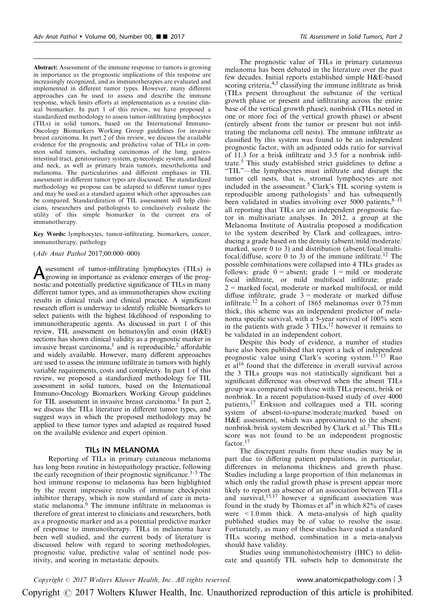Abstract: Assessment of the immune response to tumors is growing in importance as the prognostic implications of this response are increasingly recognized, and as immunotherapies are evaluated and implemented in different tumor types. However, many different approaches can be used to assess and describe the immune response, which limits efforts at implementation as a routine clinical biomarker. In part 1 of this review, we have proposed a standardized methodology to assess tumor-infiltrating lymphocytes (TILs) in solid tumors, based on the International Immuno-Oncology Biomarkers Working Group guidelines for invasive breast carcinoma. In part 2 of this review, we discuss the available evidence for the prognostic and predictive value of TILs in common solid tumors, including carcinomas of the lung, gastrointestinal tract, genitourinary system, gynecologic system, and head and neck, as well as primary brain tumors, mesothelioma and melanoma. The particularities and different emphases in TIL assessment in different tumor types are discussed. The standardized methodology we propose can be adapted to different tumor types and may be used as a standard against which other approaches can be compared. Standardization of TIL assessment will help clinicians, researchers and pathologists to conclusively evaluate the utility of this simple biomarker in the current era of immunotherapy.

Key Words: lymphocytes, tumor-infiltrating, biomarkers, cancer, immunotherapy, pathology

### (Adv Anat Pathol 2017;00:000–000)

Assessment of tumor-infiltrating lymphocytes (TILs) is<br>growing in importance as evidence emerges of the prog-<br>growing in the product of the prognostic and potentially predictive significance of TILs in many different tumor types, and as immunotherapies show exciting results in clinical trials and clinical practice. A significant research effort is underway to identify reliable biomarkers to select patients with the highest likelihood of responding to immunotherapeutic agents. As discussed in part 1 of this review, TIL assessment on hematoxylin and eosin (H&E) sections has shown clinical validity as a prognostic marker in invasive breast carcinoma,<sup>1</sup> and is reproducible,<sup>2</sup> affordable and widely available. However, many different approaches are used to assess the immune infiltrate in tumors with highly variable requirements, costs and complexity. In part 1 of this review, we proposed a standardized methodology for TIL assessment in solid tumors, based on the International Immuno-Oncology Biomarkers Working Group guidelines for TIL assessment in invasive breast carcinoma.<sup>1</sup> In part 2, we discuss the TILs literature in different tumor types, and suggest ways in which the proposed methodology may be applied to these tumor types and adapted as required based on the available evidence and expert opinion.

## TILs IN MELANOMA

Reporting of TILs in primary cutaneous melanoma has long been routine in histopathology practice, following the early recognition of their prognostic significance.<sup>[3–5](#page-16-0)</sup> The host immune response to melanoma has been highlighted by the recent impressive results of immune checkpoint inhibitor therapy, which is now standard of care in metastatic melanoma. $\frac{12}{6}$  $\frac{12}{6}$  $\frac{12}{6}$  The immune infiltrate in melanomas is therefore of great interest to clinicians and researchers, both as a prognostic marker and as a potential predictive marker of response to immunotherapy. TILs in melanoma have been well studied, and the current body of literature is discussed below with regard to scoring methodologies, prognostic value, predictive value of sentinel node positivity, and scoring in metastatic deposits.

The prognostic value of TILs in primary cutaneous melanoma has been debated in the literature over the past few decades. Initial reports established simple H&E-based scoring criteria,  $4.5$  classifying the immune infiltrate as brisk (TILs present throughout the substance of the vertical growth phase or present and infiltrating across the entire base of the vertical growth phase), nonbrisk (TILs noted in one or more foci of the vertical growth phase) or absent (entirely absent from the tumor or present but not infiltrating the melanoma cell nests). The immune infiltrate as classified by this system was found to be an independent prognostic factor, with an adjusted odds ratio for survival of 11.3 for a brisk infiltrate and 3.5 for a nonbrisk infil-trate.<sup>[5](#page-16-0)</sup> This study established strict guidelines to define a

"TIL"—the lymphocytes must infiltrate and disrupt the tumor cell nests, that is, stromal lymphocytes are not included in the assessment.<sup>[5](#page-16-0)</sup> Clark's TIL scoring system is reproducible among pathologists<sup>[7](#page-16-0)</sup> and has subsequently been validated in studies involving over 5000 patients, $8-11$ all reporting that TILs are an independent prognostic factor in multivariate analyses. In 2012, a group at the Melanoma Institute of Australia proposed a modification to the system described by Clark and colleagues, introducing a grade based on the density (absent/mild/moderate/ marked, score 0 to 3) and distribution (absent/focal/multifocal/diffuse, score 0 to 3) of the immune infiltrate.[12](#page-16-0) The possible combinations were collapsed into 4 TILs grades as follows: grade  $0 =$  absent; grade  $1 =$  mild or moderate focal infiltrate, or mild multifocal infiltrate; grade  $2$  = marked focal, moderate or marked multifocal, or mild diffuse infiltrate; grade  $3 =$  moderate or marked diffuse infiltrate.<sup>[12](#page-16-0)</sup> In a cohort of 1865 melanomas over  $0.75$  mm thick, this scheme was an independent predictor of melanoma specific survival, with a 5-year survival of 100% seen in the patients with grade  $3$  TILs,<sup>[12](#page-16-0)</sup> however it remains to be validated in an independent cohort.

Despite this body of evidence, a number of studies have also been published that report a lack of independent prognostic value using Clark's scoring system.<sup>13-15</sup> Rao et al<sup>[16](#page-16-0)</sup> found that the difference in overall survival across the 3 TILs groups was not statistically significant but a significant difference was observed when the absent TILs group was compared with those with TILs present, brisk or nonbrisk. In a recent population-based study of over 4000 patients,[17](#page-16-0) Eriksson and colleagues used a TIL scoring system of absent-to-sparse/moderate/marked based on H&E assessment, which was approximated to the absent/ nonbrisk/brisk system described by Clark et al.<sup>[5](#page-16-0)</sup> This TILs score was not found to be an independent prognostic factor.<sup>[17](#page-16-0)</sup>

The discrepant results from these studies may be in part due to differing patient populations, in particular, differences in melanoma thickness and growth phase. Studies including a large proportion of thin melanomas in which only the radial growth phase is present appear more likely to report an absence of an association between TILs and survival,  $15,17$  however a significant association was found in the study by Thomas et al<sup>[9](#page-16-0)</sup> in which  $82\%$  of cases were  $\leq 1.0$  mm thick. A meta-analysis of high quality published studies may be of value to resolve the issue. Fortunately, as many of these studies have used a standard TILs scoring method, combination in a meta-analysis should have validity.

Studies using immunohistochemistry (IHC) to delineate and quantify TIL subsets help to demonstrate the

 $Copyright © 2017 Wolters Kluwer Health, Inc. All rights reserved.$  www.anatomicpathology.com | 3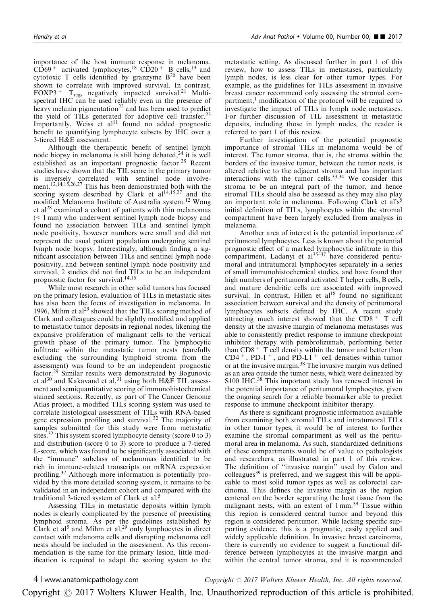importance of the host immune response in melanoma.  $\overrightarrow{CD69}$ <sup>+</sup> activated lymphocytes,<sup>[18](#page-16-0)</sup> CD20<sup>+</sup> B cells,<sup>[19](#page-16-0)</sup> and cytotoxic T cells identified by granzyme  $B<sup>20</sup>$  $B<sup>20</sup>$  $B<sup>20</sup>$  have been shown to correlate with improved survival. In contrast, FOXP3<sup>+</sup>  $T_{regs}$  negatively impacted survival.<sup>[21](#page-16-0)</sup> Multispectral IHC can be used reliably even in the presence of heavy melanin pigmentation<sup>[22](#page-16-0)</sup> and has been used to predict the yield of TILs generated for adoptive cell transfer.<sup>[23](#page-16-0)</sup> Importantly, Weiss et al $^{11}$  $^{11}$  $^{11}$  found no added prognostic benefit to quantifying lymphocyte subsets by IHC over a 3-tiered H&E assessment.

Although the therapeutic benefit of sentinel lymph node biopsy in melanoma is still being debated,  $^{24}$  $^{24}$  $^{24}$  it is well established as an important prognostic factor.<sup>[25](#page-16-0)</sup> Recent studies have shown that the TIL score in the primary tumor is inversely correlated with sentinel node involvement.[12,14,15,26,27](#page-16-0) This has been demonstrated both with the scoring system described by Clark et  $al^{14,15,27}$  $al^{14,15,27}$  $al^{14,15,27}$  and the modified Melanoma Institute of Australia system.[12](#page-16-0) Wong et al<sup>[28](#page-16-0)</sup> examined a cohort of patients with thin melanomas (< 1 mm) who underwent sentinel lymph node biopsy and found no association between TILs and sentinel lymph node positivity, however numbers were small and did not represent the usual patient population undergoing sentinel lymph node biopsy. Interestingly, although finding a significant association between TILs and sentinel lymph node positivity, and between sentinel lymph node positivity and survival, 2 studies did not find TILs to be an independent prognostic factor for survival.[14,15](#page-16-0)

While most research in other solid tumors has focused on the primary lesion, evaluation of TILs in metastatic sites has also been the focus of investigation in melanoma. In 1996, Mihm et al<sup>[29](#page-16-0)</sup> showed that the TILs scoring method of Clark and colleagues could be slightly modified and applied to metastatic tumor deposits in regional nodes, likening the expansive proliferation of malignant cells to the vertical growth phase of the primary tumor. The lymphocytic infiltrate within the metastatic tumor nests (carefully excluding the surrounding lymphoid stroma from the assessment) was found to be an independent prognostic factor.[29](#page-16-0) Similar results were demonstrated by Bogunovic et al<sup>[30](#page-16-0)</sup> and Kakavand et al,<sup>[31](#page-16-0)</sup> using both H&E TIL assessment and semiquantitative scoring of immunohistochemical stained sections. Recently, as part of The Cancer Genome Atlas project, a modified TILs scoring system was used to correlate histological assessment of TILs with RNA-based gene expression profiling and survival.[32](#page-16-0) The majority of samples submitted for this study were from metastatic sites.<sup>[32](#page-16-0)</sup> This system scored lymphocyte density (score 0 to 3) and distribution (score 0 to 3) score to produce a 7-tiered L-score, which was found to be significantly associated with the "immune" subclass of melanomas identified to be rich in immune-related transcripts on mRNA expression profiling.[32](#page-16-0) Although more information is potentially provided by this more detailed scoring system, it remains to be validated in an independent cohort and compared with the traditional 3-tiered system of Clark et al.<sup>[5](#page-16-0)</sup>

Assessing TILs in metastatic deposits within lymph nodes is clearly complicated by the presence of preexisting lymphoid stroma. As per the guidelines established by Clark et al<sup>[5](#page-16-0)</sup> and Mihm et al,<sup>29</sup> only lymphocytes in direct contact with melanoma cells and disrupting melanoma cell nests should be included in the assessment. As this recommendation is the same for the primary lesion, little modification is required to adapt the scoring system to the metastatic setting. As discussed further in part 1 of this review, how to assess TILs in metastases, particularly lymph nodes, is less clear for other tumor types. For example, as the guidelines for TILs assessment in invasive breast cancer recommend only assessing the stromal com-partment,<sup>[1](#page-15-0)</sup> modification of the protocol will be required to investigate the impact of TILs in lymph node metastases. For further discussion of TIL assessment in metastatic deposits, including those in lymph nodes, the reader is referred to part 1 of this review.

Further investigation of the potential prognostic importance of stromal TILs in melanoma would be of interest. The tumor stroma, that is, the stroma within the borders of the invasive tumor, between the tumor nests, is altered relative to the adjacent stroma and has important interactions with the tumor cells[.33,34](#page-16-0) We consider this stroma to be an integral part of the tumor, and hence stromal TILs should also be assessed as they may also play an important role in melanoma. Following Clark et al's<sup>[5](#page-16-0)</sup> initial definition of TILs, lymphocytes within the stromal compartment have been largely excluded from analysis in melanoma.

Another area of interest is the potential importance of peritumoral lymphocytes. Less is known about the potential prognostic effect of a marked lymphocytic infiltrate in this compartment. Ladanyi et  $al^{35-37}$  have considered peritumoral and intratumoral lymphocytes separately in a series of small immunohistochemical studies, and have found that high numbers of peritumoral activated T helper cells, B cells, and mature dendritic cells are associated with improved survival. In contrast, Hillen et  $al^{18}$  $al^{18}$  $al^{18}$  found no significant association between survival and the density of peritumoral lymphocytes subsets defined by IHC. A recent study attracting much interest showed that the  $CD8<sup>+</sup>$  T cell density at the invasive margin of melanoma metastases was able to consistently predict response to immune checkpoint inhibitor therapy with pembrolizumab, performing better than  $CD8$ <sup>+</sup> T cell density within the tumor and better than  $CD4^+$ , PD-1<sup>+</sup>, and PD-L1<sup>+</sup> cell densities within tumor or at the invasive margin.[38](#page-16-0) The invasive margin was defined as an area outside the tumor nests, which were delineated by S100 IHC.<sup>38</sup> This important study has renewed interest in the potential importance of peritumoral lymphocytes, given the ongoing search for a reliable biomarker able to predict response to immune checkpoint inhibitor therapy.

As there is significant prognostic information available from examining both stromal TILs and intratumoral TILs in other tumor types, it would be of interest to further examine the stromal compartment as well as the peritumoral area in melanoma. As such, standardized definitions of these compartments would be of value to pathologists and researchers, as illustrated in part 1 of this review. The definition of "invasive margin" used by Galon and colleagues $39$  is preferred, and we suggest this will be applicable to most solid tumor types as well as colorectal carcinoma. This defines the invasive margin as the region centered on the border separating the host tissue from the malignant nests, with an extent of  $1 \text{ mm}^{39}$  $1 \text{ mm}^{39}$  $1 \text{ mm}^{39}$  Tissue within this region is considered central tumor and beyond this region is considered peritumor. While lacking specific supporting evidence, this is a pragmatic, easily applied and widely applicable definition. In invasive breast carcinoma, there is currently no evidence to suggest a functional difference between lymphocytes at the invasive margin and within the central tumor stroma, and it is recommended

4 | www.anatomicpathology.com  $Copyright \odot$  2017 Wolters Kluwer Health, Inc. All rights reserved.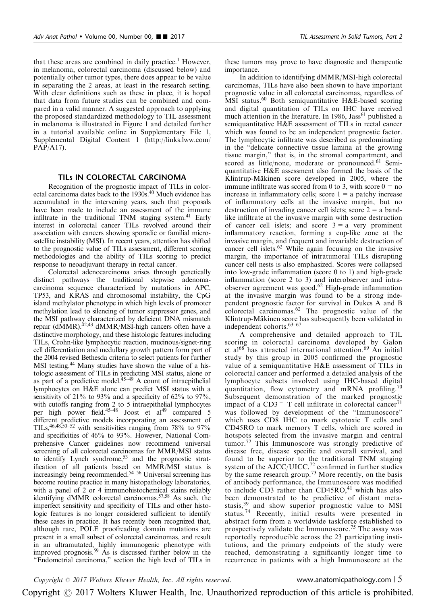that these areas are combined in daily practice.<sup>[1](#page-15-0)</sup> However, in melanoma, colorectal carcinoma (discussed below) and potentially other tumor types, there does appear to be value in separating the 2 areas, at least in the research setting. With clear definitions such as these in place, it is hoped that data from future studies can be combined and compared in a valid manner. A suggested approach to applying the proposed standardized methodology to TIL assessment in melanoma is illustrated in [Figure 1](#page-5-0) and detailed further in a tutorial available online in Supplementary File 1, Supplemental Digital Content 1 [\(http://links.lww.com/](http://links.lww.com/PAP/A17) [PAP/A17](http://links.lww.com/PAP/A17)).

## TILs IN COLORECTAL CARCINOMA

Recognition of the prognostic impact of TILs in color-ectal carcinoma dates back to the 1930s.<sup>[40](#page-17-0)</sup> Much evidence has accumulated in the intervening years, such that proposals have been made to include an assessment of the immune infiltrate in the traditional TNM staging system.<sup>41</sup> Early interest in colorectal cancer TILs revolved around their association with cancers showing sporadic or familial microsatellite instability (MSI). In recent years, attention has shifted to the prognostic value of TILs assessment, different scoring methodologies and the ability of TILs scoring to predict response to neoadjuvant therapy in rectal cancer.

Colorectal adenocarcinoma arises through genetically distinct pathways—the traditional stepwise adenomacarcinoma sequence characterized by mutations in APC, TP53, and KRAS and chromosomal instability, the CpG island methylator phenotype in which high levels of promoter methylation lead to silencing of tumor suppressor genes, and the MSI pathway characterized by deficient DNA mismatch repair (dMMR).<sup>42,43</sup> dMMR/MSI-high cancers often have a distinctive morphology, and these histologic features including TILs, Crohn-like lymphocytic reaction, mucinous/signet-ring cell differentiation and medullary growth pattern form part of the 2004 revised Bethesda criteria to select patients for further MSI testing[.44](#page-17-0) Many studies have shown the value of a histologic assessment of TILs in predicting MSI status, alone or as part of a predictive model. $45-49$  A count of intraepithelial lymphocytes on H&E alone can predict MSI status with a sensitivity of 21% to 93% and a specificity of 62% to 97%, with cutoffs ranging from 2 to 5 intraepithelial lymphocytes per high power field.<sup>[45–48](#page-17-0)</sup> Joost et al<sup>49</sup> compared 5 different predictive models incorporating an assessment of TILs,  $46,48,50-52$  with sensitivities ranging from 78% to 97% and specificities of 46% to 93%. However, National Comprehensive Cancer guidelines now recommend universal screening of all colorectal carcinomas for MMR/MSI status to identify Lynch syndrome,<sup>53</sup> and the prognostic stratification of all patients based on MMR/MSI status is increasingly being recommended.<sup>[54–56](#page-17-0)</sup> Universal screening has become routine practice in many histopathology laboratories, with a panel of 2 or 4 immunohistochemical stains reliably identifying dMMR colorectal carcinomas.[57,58](#page-17-0) As such, the imperfect sensitivity and specificity of TILs and other histologic features is no longer considered sufficient to identify these cases in practice. It has recently been recognized that, although rare, POLE proofreading domain mutations are present in a small subset of colorectal carcinomas, and result in an ultramutated, highly immunogenic phenotype with improved prognosis.<sup>[59](#page-17-0)</sup> As is discussed further below in the "Endometrial carcinoma," section the high level of TILs in

these tumors may prove to have diagnostic and therapeutic importance.

In addition to identifying dMMR/MSI-high colorectal carcinomas, TILs have also been shown to have important prognostic value in all colorectal carcinomas, regardless of MSI status.<sup>[60](#page-17-0)</sup> Both semiquantitative H&E-based scoring and digital quantitation of TILs on IHC have received much attention in the literature. In 1986, Jass<sup>[61](#page-17-0)</sup> published a semiquantitative H&E assessment of TILs in rectal cancer which was found to be an independent prognostic factor. The lymphocytic infiltrate was described as predominating in the "delicate connective tissue lamina at the growing tissue margin," that is, in the stromal compartment, and scored as little/none, moderate or pronounced.<sup>[61](#page-17-0)</sup> Semiquantitative H&E assessment also formed the basis of the Klintrup-Mäkinen score developed in 2005, where the immune infiltrate was scored from 0 to 3, with score  $0 = no$ increase in inflammatory cells; score  $1 = a$  patchy increase of inflammatory cells at the invasive margin, but no destruction of invading cancer cell islets; score  $2 = a$  bandlike infiltrate at the invasive margin with some destruction of cancer cell islets; and score  $3 = a$  very prominent inflammatory reaction, forming a cup-like zone at the invasive margin, and frequent and invariable destruction of cancer cell islets.[62](#page-17-0) While again focusing on the invasive margin, the importance of intratumoral TILs disrupting cancer cell nests is also emphasized. Scores were collapsed into low-grade inflammation (score 0 to 1) and high-grade inflammation (score 2 to 3) and interobserver and intra-observer agreement was good.<sup>[62](#page-17-0)</sup> High-grade inflammation at the invasive margin was found to be a strong independent prognostic factor for survival in Dukes A and B colorectal carcinomas. $62$  The prognostic value of the Klintrup-Mäkinen score has subsequently been validated in independent cohorts.[63–67](#page-17-0)

A comprehensive and detailed approach to TIL scoring in colorectal carcinoma developed by Galon et al<sup>[68](#page-17-0)</sup> has attracted international attention.<sup>[69](#page-17-0)</sup> An initial study by this group in 2005 confirmed the prognostic value of a semiquantitative H&E assessment of TILs in colorectal cancer and performed a detailed analysis of the lymphocyte subsets involved using IHC-based digital quantitation, flow cytometry and mRNA profiling.<sup>[70](#page-17-0)</sup> Subsequent demonstration of the marked prognostic impact of a  $CD3 + T$  cell infiltrate in colorectal cancer<sup>[71](#page-17-0)</sup> was followed by development of the "Immunoscore" which uses CD8 IHC to mark cytotoxic T cells and CD45RO to mark memory T cells, which are scored in hotspots selected from the invasive margin and central tumor.<sup>[72](#page-17-0)</sup> This Immunoscore was strongly predictive of disease free, disease specific and overall survival, and found to be superior to the traditional TNM staging system of the AJCC/UICC,<sup>[72](#page-17-0)</sup> confirmed in further studies by the same research group.<sup>[73](#page-17-0)</sup> More recently, on the basis of antibody performance, the Immunoscore was modified to include  $CD3$  rather than  $CD45RO<sub>1</sub><sup>41</sup>$  $CD45RO<sub>1</sub><sup>41</sup>$  $CD45RO<sub>1</sub><sup>41</sup>$  which has also been demonstrated to be predictive of distant metastasis, $39$  and show superior prognostic value to MSI status.[74](#page-17-0) Recently, initial results were presented in abstract form from a worldwide taskforce established to prospectively validate the Immunoscore.<sup>[75](#page-17-0)</sup> The assay was reportedly reproducible across the 23 participating institutions, and the primary endpoints of the study were reached, demonstrating a significantly longer time to recurrence in patients with a high Immunoscore at the

 $Copyright © 2017 Wolters Kluwer Health, Inc. All rights reserved.$  www.anatomicpathology.com | 5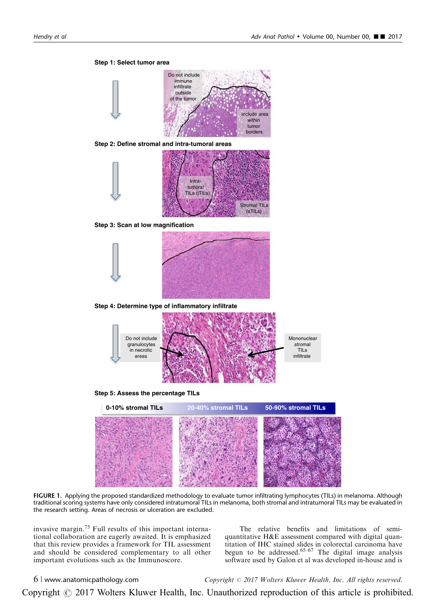<span id="page-5-0"></span>

**Step 2: Define stromal and intra-tumoral areas**



**Step 3: Scan at low magnification**



**Step 4: Determine type of inflammatory infiltrate**



**Step 5: Assess the percentage TILs**



FIGURE 1. Applying the proposed standardized methodology to evaluate tumor infiltrating lymphocytes (TILs) in melanoma. Although traditional scoring systems have only considered intratumoral TILs in melanoma, both stromal and intratumoral TILs may be evaluated in the research setting. Areas of necrosis or ulceration are excluded.

invasive margin.[75](#page-17-0) Full results of this important international collaboration are eagerly awaited. It is emphasized that this review provides a framework for TIL assessment and should be considered complementary to all other important evolutions such as the Immunoscore.

The relative benefits and limitations of semiquantitative H&E assessment compared with digital quantitation of IHC stained slides in colorectal carcinoma have begun to be addressed.  $65-67$  The digital image analysis software used by Galon et al was developed in-house and is

 $6$  | www.anatomicpathology.com  $Copyright \otimes 2017$  Wolters Kluwer Health, Inc. All rights reserved.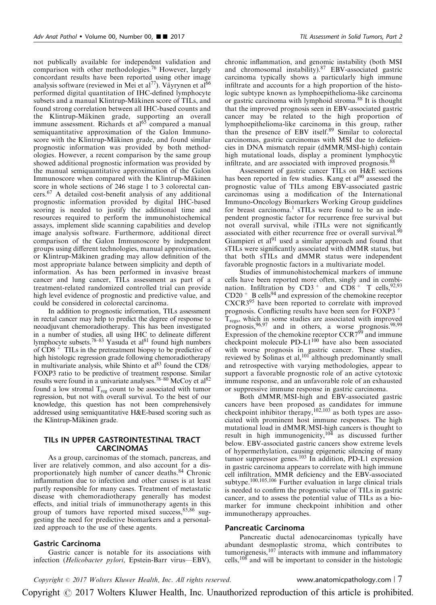not publically available for independent validation and comparison with other methodologies.[76](#page-17-0) However, largely concordant results have been reported using other image analysis software (reviewed in Mei et al<sup>77</sup>). Väyrynen et al<sup>66</sup> performed digital quantitation of IHC-defined lymphocyte subsets and a manual Klintrup-Mäkinen score of TILs, and found strong correlation between all IHC-based counts and the Klintrup-Mäkinen grade, supporting an overall immune assessment. Richards et al<sup>65</sup> compared a manual semiquantitative approximation of the Galon Immunoscore with the Klintrup-Mäkinen grade, and found similar prognostic information was provided by both methodologies. However, a recent comparison by the same group showed additional prognostic information was provided by the manual semiquantitative approximation of the Galon Immunoscore when compared with the Klintrup-Mäkinen score in whole sections of 246 stage 1 to 3 colorectal cancers.[67](#page-17-0) A detailed cost-benefit analysis of any additional prognostic information provided by digital IHC-based scoring is needed to justify the additional time and resources required to perform the immunohistochemical assays, implement slide scanning capabilities and develop image analysis software. Furthermore, additional direct comparison of the Galon Immunoscore by independent groups using different technologies, manual approximation, or Klintrup-Mäkinen grading may allow definition of the most appropriate balance between simplicity and depth of information. As has been performed in invasive breast cancer and lung cancer, TILs assessment as part of a treatment-related randomized controlled trial can provide high level evidence of prognostic and predictive value, and could be considered in colorectal carcinoma.

In addition to prognostic information, TILs assessment in rectal cancer may help to predict the degree of response to neoadjuvant chemoradiotherapy. This has been investigated in a number of studies, all using IHC to delineate different lymphocyte subsets.<sup>78–83</sup> Yasuda et al<sup>81</sup> found high numbers of  $\overline{CD8}$ <sup>+</sup> TILs in the pretreatment biopsy to be predictive of high histologic regression grade following chemoradiotherapy in multivariate analysis, while Shinto et  $a^{83}$  found the CD8/ FOXP3 ratio to be predictive of treatment response. Similar results were found in a univariate analyses.<sup>[78–80](#page-17-0)</sup> McCoy et  $al^{82}$ found a low stromal  $T_{reg}$  count to be associated with tumor regression, but not with overall survival. To the best of our knowledge, this question has not been comprehensively addressed using semiquantitative H&E-based scoring such as the Klintrup-Mäkinen grade.

# TILs IN UPPER GASTROINTESTINAL TRACT CARCINOMAS

As a group, carcinomas of the stomach, pancreas, and liver are relatively common, and also account for a dis-proportionately high number of cancer deaths.<sup>[84](#page-18-0)</sup> Chronic inflammation due to infection and other causes is at least partly responsible for many cases. Treatment of metastatic disease with chemoradiotherapy generally has modest effects, and initial trials of immunotherapy agents in this group of tumors have reported mixed success,  $85,86$  suggesting the need for predictive biomarkers and a personalized approach to the use of these agents.

## Gastric Carcinoma

Gastric cancer is notable for its associations with infection (Helicobacter pylori, Epstein-Barr virus—EBV),

chronic inflammation, and genomic instability (both MSI and chromosomal instability).<sup>[87](#page-18-0)</sup> EBV-associated gastric carcinoma typically shows a particularly high immune infiltrate and accounts for a high proportion of the histologic subtype known as lymphoepithelioma-like carcinoma or gastric carcinoma with lymphoid stroma.<sup>[88](#page-18-0)</sup> It is thought that the improved prognosis seen in EBV-associated gastric cancer may be related to the high proportion of lymphoepithelioma-like carcinoma in this group, rather than the presence of EBV itself.[89](#page-18-0) Similar to colorectal carcinomas, gastric carcinomas with MSI due to deficiencies in DNA mismatch repair (dMMR/MSI-high) contain high mutational loads, display a prominent lymphocytic infiltrate, and are associated with improved prognosis.<sup>[88](#page-18-0)</sup>

Assessment of gastric cancer TILs on H&E sections has been reported in few studies. Kang et al<sup>[90](#page-18-0)</sup> assessed the prognostic value of TILs among EBV-associated gastric carcinomas using a modification of the International Immuno-Oncology Biomarkers Working Group guidelines for breast carcinoma.<sup>[1](#page-15-0)</sup> sTILs were found to be an independent prognostic factor for recurrence free survival but not overall survival, while iTILs were not significantly associated with either recurrence free or overall survival.<sup>[90](#page-18-0)</sup> Giampieri et  $al<sup>91</sup>$  $al<sup>91</sup>$  $al<sup>91</sup>$  used a similar approach and found that sTILs were significantly associated with dMMR status, but that both sTILs and dMMR status were independent favorable prognostic factors in a multivariate model.

Studies of immunohistochemical markers of immune cells have been reported more often, singly and in combination. Infiltration by  $CD3^+$  and  $CD8^+$  T cells, <sup>[92,93](#page-18-0)</sup>  $CD20 + B$  cells<sup>[94](#page-18-0)</sup> and expression of the chemokine receptor CXCR3[95](#page-18-0) have been reported to correlate with improved prognosis. Conflicting results have been seen for FOXP3 <sup>+</sup>  $T_{\text{regs}}$ , which in some studies are associated with improved prognosis, <sup>96, 97</sup> and in others, a worse prognosis. 98, 99 Expression of the chemokine receptor  $CCR7^{99}$  $CCR7^{99}$  $CCR7^{99}$  and immune checkpoint molecule PD-L1<sup>[100](#page-18-0)</sup> have also been associated with worse prognosis in gastric cancer. These studies, reviewed by Solinas et al,<sup>[101](#page-18-0)</sup> although predominantly small and retrospective with varying methodologies, appear to support a favorable prognostic role of an active cytotoxic immune response, and an unfavorable role of an exhausted or suppressive immune response in gastric carcinoma.

Both dMMR/MSI-high and EBV-associated gastric cancers have been proposed as candidates for immune checkpoint inhibitor therapy,  $102,103$  as both types are associated with prominent host immune responses. The high mutational load in dMMR/MSI-high cancers is thought to result in high immunogenicity,  $104$  as discussed further below. EBV-associated gastric cancers show extreme levels of hypermethylation, causing epigenetic silencing of many tumor suppressor genes.<sup>[103](#page-18-0)</sup> In addition, PD-L1 expression in gastric carcinoma appears to correlate with high immune cell infiltration, MMR deficiency and the EBV-associated subtype.<sup>[100,105,106](#page-18-0)</sup> Further evaluation in large clinical trials is needed to confirm the prognostic value of TILs in gastric cancer, and to assess the potential value of TILs as a biomarker for immune checkpoint inhibition and other immunotherapy approaches.

#### Pancreatic Carcinoma

Pancreatic ductal adenocarcinomas typically have abundant desmoplastic stroma, which contributes to tumorigenesis,[107](#page-18-0) interacts with immune and inflammatory cells,<sup>[108](#page-18-0)</sup> and will be important to consider in the histologic

Copyright © 2017 Wolters Kluwer Health, Inc. All rights reserved. www.anatomicpathology.com | 7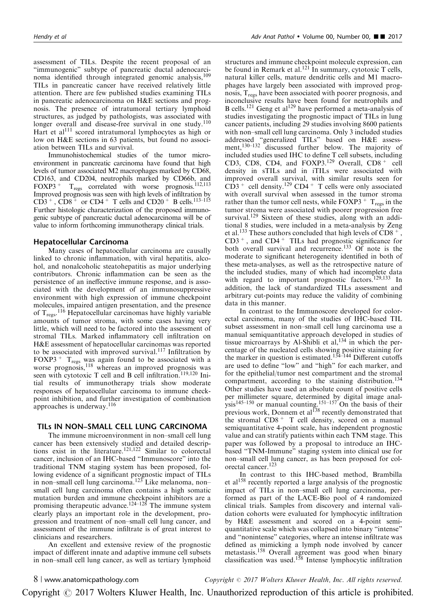assessment of TILs. Despite the recent proposal of an "immunogenic" subtype of pancreatic ductal adenocarci-noma identified through integrated genomic analysis,<sup>[109](#page-18-0)</sup> TILs in pancreatic cancer have received relatively little attention. There are few published studies examining TILs in pancreatic adenocarcinoma on H&E sections and prognosis. The presence of intratumoral tertiary lymphoid structures, as judged by pathologists, was associated with longer overall and disease-free survival in one study.<sup>[110](#page-18-0)</sup> Hart et al<sup>[111](#page-18-0)</sup> scored intratumoral lymphocytes as high or low on H&E sections in 63 patients, but found no association between TILs and survival.

Immunohistochemical studies of the tumor microenvironment in pancreatic carcinoma have found that high levels of tumor associated M2 macrophages marked by CD68, CD163, and CD204, neutrophils marked by CD66b, and FOXP3<sup>+</sup>  $T_{\text{reos}}$  correlated with worse prognosis.<sup>112,113</sup>  $T_{\text{regs}}$  correlated with worse prognosis.<sup>112,113</sup> Improved prognosis was seen with high levels of infiltration by  $CD3^+$ ,  $CD8^+$  or  $CD4^+$  T cells and  $CD20^+$  B cells.<sup>113–115</sup> Further histologic characterization of the proposed immunogenic subtype of pancreatic ductal adenocarcinoma will be of value to inform forthcoming immunotherapy clinical trials.

## Hepatocellular Carcinoma

Many cases of hepatocellular carcinoma are causally linked to chronic inflammation, with viral hepatitis, alcohol, and nonalcoholic steatohepatitis as major underlying contributors. Chronic inflammation can be seen as the persistence of an ineffective immune response, and is associated with the development of an immunosuppressive environment with high expression of immune checkpoint molecules, impaired antigen presentation, and the presence of  $T_{\text{regs}}$ .<sup>[116](#page-18-0)</sup> Hepatocellular carcinomas have highly variable amounts of tumor stroma, with some cases having very little, which will need to be factored into the assessment of stromal TILs. Marked inflammatory cell infiltration on H&E assessment of hepatocellular carcinomas was reported to be associated with improved survival.<sup>[117](#page-18-0)</sup> Infiltration by FOXP3<sup>+</sup>  $T_{\text{regs}}$  was again found to be associated with a worse prognosis,<sup>118</sup> whereas an improved prognosis was seen with cytotoxic T cell and B cell infiltration.<sup>[119,120](#page-19-0)</sup> Initial results of immunotherapy trials show moderate responses of hepatocellular carcinoma to immune checkpoint inhibition, and further investigation of combination approaches is underway.[116](#page-18-0)

## TILs IN NON–SMALL CELL LUNG CARCINOMA

The immune microenvironment in non–small cell lung cancer has been extensively studied and detailed descrip-tions exist in the literature.<sup>[121,122](#page-19-0)</sup> Similar to colorectal cancer, inclusion of an IHC-based "Immunoscore" into the traditional TNM staging system has been proposed, following evidence of a significant prognostic impact of TILs in non–small cell lung carcinoma.<sup>[123](#page-19-0)</sup> Like melanoma, non– small cell lung carcinoma often contains a high somatic mutation burden and immune checkpoint inhibitors are a promising therapeutic advance.<sup>[124–128](#page-19-0)</sup> The immune system clearly plays an important role in the development, progression and treatment of non–small cell lung cancer, and assessment of the immune infiltrate is of great interest to clinicians and researchers.

An excellent and extensive review of the prognostic impact of different innate and adaptive immune cell subsets in non–small cell lung cancer, as well as tertiary lymphoid

structures and immune checkpoint molecule expression, can be found in Remark et al.<sup>[121](#page-19-0)</sup> In summary, cytotoxic T cells, natural killer cells, mature dendritic cells and M1 macrophages have largely been associated with improved prognosis, T<sub>regs</sub> have been associated with poorer prognosis, and inconclusive results have been found for neutrophils and B cells.<sup>[121](#page-19-0)</sup> Geng et al<sup>[129](#page-19-0)</sup> have performed a meta-analysis of studies investigating the prognostic impact of TILs in lung cancer patients, including 29 studies involving 8600 patients with non–small cell lung carcinoma. Only 3 included studies addressed "generalized TILs" based on H&E assess-ment,<sup>[130–132](#page-19-0)</sup> discussed further below. The majority of included studies used IHC to define T cell subsets, including CD3, CD8, CD4, and FOXP3.<sup>[129](#page-19-0)</sup> Overall, CD8<sup>+</sup> cell density in sTILs and in iTILs were associated with improved overall survival, with similar results seen for  $CD3$ <sup>+</sup> cell density.<sup>[129](#page-19-0)</sup> CD4<sup>+</sup> T cells were only associated with overall survival when assessed in the tumor stroma rather than the tumor cell nests, while  $FOXP3 + T_{\text{regs}}$  in the tumor stroma were associated with poorer progression free survival.<sup>[129](#page-19-0)</sup> Sixteen of these studies, along with an additional 8 studies, were included in a meta-analysis by Zeng et al.<sup>[133](#page-19-0)</sup> These authors concluded that high levels of CD8<sup>+</sup>, CD3 <sup>+</sup> , and CD4 <sup>+</sup> TILs had prognostic significance for both overall survival and recurrence.<sup>[133](#page-19-0)</sup> Of note is the moderate to significant heterogeneity identified in both of these meta-analyses, as well as the retrospective nature of the included studies, many of which had incomplete data with regard to important prognostic factors.<sup>[129,133](#page-19-0)</sup> In addition, the lack of standardized TILs assessment and arbitrary cut-points may reduce the validity of combining data in this manner.

In contrast to the Immunoscore developed for colorectal carcinoma, many of the studies of IHC-based TIL subset assessment in non–small cell lung carcinoma use a manual semiquantitative approach developed in studies of tissue microarrays by Al-Shibli et al, $134$  in which the percentage of the nucleated cells showing positive staining for the marker in question is estimated.<sup>[134–144](#page-19-0)</sup> Different cutoffs are used to define "low" and "high" for each marker, and for the epithelial/tumor nest compartment and the stromal compartment, according to the staining distribution.<sup>[134](#page-19-0)</sup> Other studies have used an absolute count of positive cells per millimeter square, determined by digital image anal-ysis<sup>[145–150](#page-19-0)</sup> or manual counting.<sup>[151–157](#page-19-0)</sup> On the basis of their previous work, Donnem et al<sup>[138](#page-19-0)</sup> recently demonstrated that the stromal  $CD8<sup>+</sup>$  T cell density, scored on a manual semiquantitative 4-point scale, has independent prognostic value and can stratify patients within each TNM stage. This paper was followed by a proposal to introduce an IHCbased "TNM-Immune" staging system into clinical use for non–small cell lung cancer, as has been proposed for colorectal cancer.[123](#page-19-0)

In contrast to this IHC-based method, Brambilla et al<sup>[158](#page-20-0)</sup> recently reported a large analysis of the prognostic impact of TILs in non–small cell lung carcinoma, performed as part of the LACE-Bio pool of 4 randomized clinical trials. Samples from discovery and internal validation cohorts were evaluated for lymphocytic infiltration by H&E assessment and scored on a 4-point semiquantitative scale which was collapsed into binary "intense" and "nonintense" categories, where an intense infiltrate was defined as mimicking a lymph node involved by cancer metastasis.<sup>[158](#page-20-0)</sup> Overall agreement was good when binary classification was used.<sup>158</sup> Intense lymphocytic infiltration

 $8 \mid$  www.anatomicpathology.com Copyright  $\odot$  2017 Wolters Kluwer Health, Inc. All rights reserved.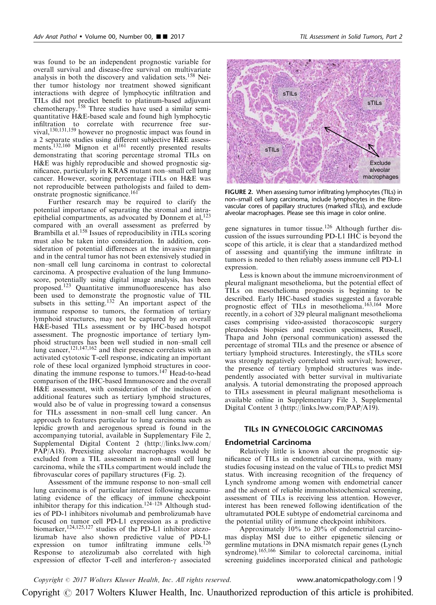was found to be an independent prognostic variable for overall survival and disease-free survival on multivariate analysis in both the discovery and validation sets.<sup>[158](#page-20-0)</sup> Neither tumor histology nor treatment showed significant interactions with degree of lymphocytic infiltration and TILs did not predict benefit to platinum-based adjuvant chemotherapy.<sup>[158](#page-20-0)</sup> Three studies have used a similar semiquantitative H&E-based scale and found high lymphocytic infiltration to correlate with recurrence free survival,[130,131,159](#page-19-0) however no prognostic impact was found in a 2 separate studies using different subjective H&E assess-ments.<sup>[132,160](#page-19-0)</sup> Mignon et al<sup>[161](#page-20-0)</sup> recently presented results demonstrating that scoring percentage stromal TILs on H&E was highly reproducible and showed prognostic significance, particularly in KRAS mutant non–small cell lung cancer. However, scoring percentage iTILs on H&E was not reproducible between pathologists and failed to dem-onstrate prognostic significance.<sup>[161](#page-20-0)</sup>

Further research may be required to clarify the potential importance of separating the stromal and intraepithelial compartments, as advocated by Donnem et al, $^{123}$  $^{123}$  $^{123}$ compared with an overall assessment as preferred by Brambilla et al.<sup>[158](#page-20-0)</sup> Issues of reproducibility in iTILs scoring must also be taken into consideration. In addition, consideration of potential differences at the invasive margin and in the central tumor has not been extensively studied in non–small cell lung carcinoma in contrast to colorectal carcinoma. A prospective evaluation of the lung Immunoscore, potentially using digital image analysis, has been proposed.[123](#page-19-0) Quantitative immunofluorescence has also been used to demonstrate the prognostic value of TIL subsets in this setting.<sup>[132](#page-19-0)</sup> An important aspect of the immune response to tumors, the formation of tertiary lymphoid structures, may not be captured by an overall H&E-based TILs assessment or by IHC-based hotspot assessment. The prognostic importance of tertiary lymphoid structures has been well studied in non–small cell lung cancer,  $121,147,162$  and their presence correlates with an activated cytotoxic T-cell response, indicating an important role of these local organized lymphoid structures in coor-dinating the immune response to tumors.<sup>[147](#page-19-0)</sup> Head-to-head comparison of the IHC-based Immunoscore and the overall H&E assessment, with consideration of the inclusion of additional features such as tertiary lymphoid structures, would also be of value in progressing toward a consensus for TILs assessment in non–small cell lung cancer. An approach to features particular to lung carcinoma such as lepidic growth and aerogenous spread is found in the accompanying tutorial, available in Supplementary File 2, Supplemental Digital Content 2 [\(http://links.lww.com/](http://links.lww.com/PAP/A18) [PAP/A18](http://links.lww.com/PAP/A18)). Preexisting alveolar macrophages would be excluded from a TIL assessment in non–small cell lung carcinoma, while the sTILs compartment would include the fibrovascular cores of papillary structures (Fig. 2).

Assessment of the immune response to non–small cell lung carcinoma is of particular interest following accumulating evidence of the efficacy of immune checkpoint inhibitor therapy for this indication.<sup>[124–128](#page-19-0)</sup> Although studies of PD-1 inhibitors nivolumab and pembrolizumab have focused on tumor cell PD-L1 expression as a predictive biomarker,<sup>[124,125,127](#page-19-0)</sup> studies of the PD-L1 inhibitor atezolizumab have also shown predictive value of PD-L1 expression on tumor infiltrating immune cells.<sup>[126](#page-19-0)</sup> Response to atezolizumab also correlated with high expression of effector T-cell and interferon- $\gamma$  associated



FIGURE 2. When assessing tumor infiltrating lymphocytes (TILs) in non–small cell lung carcinoma, include lymphocytes in the fibrovascular cores of papillary structures (marked sTILs), and exclude alveolar macrophages. Please see this image in color online.

gene signatures in tumor tissue.<sup>126</sup> Although further discussion of the issues surrounding PD-L1 IHC is beyond the scope of this article, it is clear that a standardized method of assessing and quantifying the immune infiltrate in tumors is needed to then reliably assess immune cell PD-L1 expression.

Less is known about the immune microenvironment of pleural malignant mesothelioma, but the potential effect of TILs on mesothelioma prognosis is beginning to be described. Early IHC-based studies suggested a favorable prognostic effect of TILs in mesothelioma.<sup>[163,164](#page-20-0)</sup> More recently, in a cohort of 329 pleural malignant mesothelioma cases comprising video-assisted thoracoscopic surgery pleurodesis biopsies and resection specimens, Russell, Thapa and John (personal communication) assessed the percentage of stromal TILs and the presence or absence of tertiary lymphoid structures. Interestingly, the sTILs score was strongly negatively correlated with survival; however, the presence of tertiary lymphoid structures was independently associated with better survival in multivariate analysis. A tutorial demonstrating the proposed approach to TILs assessment in pleural malignant mesothelioma is available online in Supplementary File 3, Supplemental Digital Content 3 [\(http://links.lww.com/PAP/A19\)](http://links.lww.com/PAP/A19).

## TILs IN GYNECOLOGIC CARCINOMAS

## Endometrial Carcinoma

Relatively little is known about the prognostic significance of TILs in endometrial carcinoma, with many studies focusing instead on the value of TILs to predict MSI status. With increasing recognition of the frequency of Lynch syndrome among women with endometrial cancer and the advent of reliable immunohistochemical screening, assessment of TILs is receiving less attention. However, interest has been renewed following identification of the ultramutated POLE subtype of endometrial carcinoma and the potential utility of immune checkpoint inhibitors.

Approximately 10% to 20% of endometrial carcinomas display MSI due to either epigenetic silencing or germline mutations in DNA mismatch repair genes (Lynch syndrome).<sup>[165,166](#page-20-0)</sup> Similar to colorectal carcinoma, initial screening guidelines incorporated clinical and pathologic

 $Copyright © 2017 Wolters Kluwer Health, Inc. All rights reserved.$  www.anatomicpathology.com | 9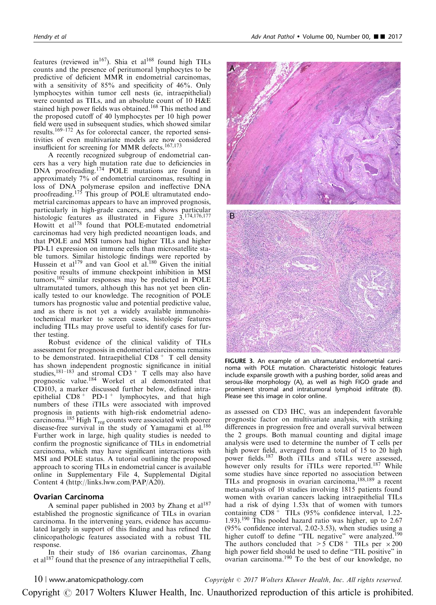features (reviewed in<sup>167</sup>). Shia et al<sup>168</sup> found high TILs counts and the presence of peritumoral lymphocytes to be predictive of deficient MMR in endometrial carcinomas, with a sensitivity of 85% and specificity of 46%. Only lymphocytes within tumor cell nests (ie, intraepithelial) were counted as TILs, and an absolute count of 10 H&E stained high power fields was obtained.<sup>[168](#page-20-0)</sup> This method and the proposed cutoff of 40 lymphocytes per 10 high power field were used in subsequent studies, which showed similar results.[169–172](#page-20-0) As for colorectal cancer, the reported sensitivities of even multivariate models are now considered insufficient for screening for MMR defects.[167,173](#page-20-0)

A recently recognized subgroup of endometrial cancers has a very high mutation rate due to deficiencies in DNA proofreading.<sup>[174](#page-20-0)</sup> POLE mutations are found in approximately 7% of endometrial carcinomas, resulting in loss of DNA polymerase epsilon and ineffective DNA proofreading.<sup>[175](#page-20-0)</sup> This group of POLE ultramutated endometrial carcinomas appears to have an improved prognosis, particularly in high-grade cancers, and shows particular histologic features as illustrated in Figure 3.[174,176,177](#page-20-0) Howitt et al<sup>[178](#page-20-0)</sup> found that POLE-mutated endometrial carcinomas had very high predicted neoantigen loads, and that POLE and MSI tumors had higher TILs and higher PD-L1 expression on immune cells than microsatellite stable tumors. Similar histologic findings were reported by Hussein et al<sup>[179](#page-20-0)</sup> and van Gool et al.<sup>[180](#page-20-0)</sup> Given the initial positive results of immune checkpoint inhibition in MSI tumors,[102](#page-18-0) similar responses may be predicted in POLE ultramutated tumors, although this has not yet been clinically tested to our knowledge. The recognition of POLE tumors has prognostic value and potential predictive value, and as there is not yet a widely available immunohistochemical marker to screen cases, histologic features including TILs may prove useful to identify cases for further testing.

Robust evidence of the clinical validity of TILs assessment for prognosis in endometrial carcinoma remains to be demonstrated. Intraepithelial  $CD8 + T$  cell density has shown independent prognostic significance in initial studies,  $181-183$  and stromal CD3<sup>+</sup> T cells may also have prognostic value.[184](#page-20-0) Workel et al demonstrated that CD103, a marker discussed further below, defined intraepithelial  $CD8<sup>+</sup>$  PD-1<sup>+</sup> lymphocytes, and that high numbers of these iTILs were associated with improved prognosis in patients with high-risk endometrial adeno-carcinoma.<sup>[185](#page-20-0)</sup> High T<sub>reg</sub> counts were associated with poorer disease-free survival in the study of Yamagami et al.<sup>[186](#page-20-0)</sup> Further work in large, high quality studies is needed to confirm the prognostic significance of TILs in endometrial carcinoma, which may have significant interactions with MSI and POLE status. A tutorial outlining the proposed approach to scoring TILs in endometrial cancer is available online in Supplementary File 4, Supplemental Digital Content 4 ([http://links.lww.com/PAP/A20\)](http://links.lww.com/PAP/A20).

# Ovarian Carcinoma

A seminal paper published in 2003 by Zhang et  $al^{187}$  $al^{187}$  $al^{187}$ established the prognostic significance of TILs in ovarian carcinoma. In the intervening years, evidence has accumulated largely in support of this finding and has refined the clinicopathologic features associated with a robust TIL response.

In their study of 186 ovarian carcinomas, Zhang et al<sup>[187](#page-20-0)</sup> found that the presence of any intraepithelial T cells,



FIGURE 3. An example of an ultramutated endometrial carcinoma with POLE mutation. Characteristic histologic features include expansile growth with a pushing border, solid areas and serous-like morphology (A), as well as high FIGO grade and prominent stromal and intratumoral lymphoid infiltrate (B). Please see this image in color online.

as assessed on CD3 IHC, was an independent favorable prognostic factor on multivariate analysis, with striking differences in progression free and overall survival between the 2 groups. Both manual counting and digital image analysis were used to determine the number of T cells per high power field, averaged from a total of 15 to 20 high power fields.<sup>[187](#page-20-0)</sup> Both iTILs and sTILs were assessed, however only results for iTILs were reported.<sup>[187](#page-20-0)</sup> While some studies have since reported no association between TILs and prognosis in ovarian carcinoma,[188,189](#page-20-0) a recent meta-analysis of 10 studies involving 1815 patients found women with ovarian cancers lacking intraepithelial TILs had a risk of dying 1.53x that of women with tumors containing CD8 <sup>+</sup> TILs (95% confidence interval, 1.22- 1.93).[190](#page-20-0) This pooled hazard ratio was higher, up to 2.67 (95% confidence interval, 2.02-3.53), when studies using a higher cutoff to define "TIL negative" were analyzed.<sup>[190](#page-20-0)</sup> The authors concluded that  $> 5$  CD8<sup>+</sup> TILs per  $\times 200$ high power field should be used to define "TIL positive" in ovarian carcinoma.[190](#page-20-0) To the best of our knowledge, no

10 <sup>|</sup> www.anatomicpathology.com Copyright <sup>r</sup> 2017 Wolters Kluwer Health, Inc. All rights reserved.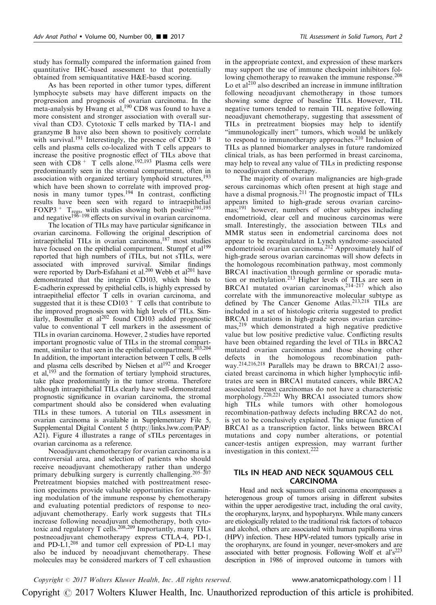study has formally compared the information gained from quantitative IHC-based assessment to that potentially obtained from semiquantitative H&E-based scoring.

As has been reported in other tumor types, different lymphocyte subsets may have different impacts on the progression and prognosis of ovarian carcinoma. In the meta-analysis by Hwang et al,  $190$  CD8 was found to have a more consistent and stronger association with overall survival than CD3. Cytotoxic T cells marked by TIA-1 and granzyme B have also been shown to positively correlate with survival.<sup>[191](#page-20-0)</sup> Interestingly, the presence of  $CD20 + B$ cells and plasma cells co-localized with T cells appears to increase the positive prognostic effect of TILs above that seen with  $CD8 + T$  cells alone.<sup>[192,193](#page-20-0)</sup> Plasma cells were predominantly seen in the stromal compartment, often in association with organized tertiary lymphoid structures,<sup>[193](#page-20-0)</sup> which have been shown to correlate with improved prognosis in many tumor types.[194](#page-20-0) In contrast, conflicting results have been seen with regard to intraepithelial FOXP3<sup>+</sup> T<sub>regs</sub>, with studies showing both positive<sup>[191,195](#page-20-0)</sup> and negative<sup>[196–198](#page-21-0)</sup> effects on survival in ovarian carcinoma.

The location of TILs may have particular significance in ovarian carcinoma. Following the original description of intraepithelial TILs in ovarian carcinoma[,187](#page-20-0) most studies have focused on the epithelial compartment. Stumpf et al<sup>199</sup> reported that high numbers of iTILs, but not sTILs, were associated with improved survival. Similar findings were reported by Darb-Esfahani et al.<sup>200</sup> Webb et al<sup>201</sup> have demonstrated that the integrin CD103, which binds to E-cadherin expressed by epithelial cells, is highly expressed by intraepithelial effector T cells in ovarian carcinoma, and suggested that it is these CD103<sup>+</sup> T cells that contribute to the improved prognosis seen with high levels of TILs. Sim-ilarly, Bosmuller et al<sup>[202](#page-21-0)</sup> found CD103 added prognostic value to conventional T cell markers in the assessment of TILs in ovarian carcinoma. However, 2 studies have reported important prognostic value of TILs in the stromal compart-ment, similar to that seen in the epithelial compartment.<sup>[203,204](#page-21-0)</sup> In addition, the important interaction between T cells, B cells and plasma cells described by Nielsen et al<sup>192</sup> and Kroeger et al, $193$  and the formation of tertiary lymphoid structures, take place predominantly in the tumor stroma. Therefore although intraepithelial TILs clearly have well-demonstrated prognostic significance in ovarian carcinoma, the stromal compartment should also be considered when evaluating TILs in these tumors. A tutorial on TILs assessment in ovarian carcinoma is available in Supplementary File 5, Supplemental Digital Content 5 ([http://links.lww.com/PAP/](http://links.lww.com/PAP/A21) [A21](http://links.lww.com/PAP/A21)). [Figure 4](#page-11-0) illustrates a range of sTILs percentages in ovarian carcinoma as a reference.

Neoadjuvant chemotherapy for ovarian carcinoma is a controversial area, and selection of patients who should receive neoadjuvant chemotherapy rather than undergo primary debulking surgery is currently challenging.<sup>[205–207](#page-21-0)</sup> Pretreatment biopsies matched with posttreatment resection specimens provide valuable opportunities for examining modulation of the immune response by chemotherapy and evaluating potential predictors of response to neoadjuvant chemotherapy. Early work suggests that TILs increase following neoadjuvant chemotherapy, both cyto-toxic and regulatory T cells.<sup>[208,209](#page-21-0)</sup> Importantly, many TILs postneoadjuvant chemotherapy express CTLA-4, PD-1, and PD-L1,<sup>[208](#page-21-0)</sup> and tumor cell expression of PD-L1 may also be induced by neoadjuvant chemotherapy. These molecules may be considered markers of T cell exhaustion

in the appropriate context, and expression of these markers may support the use of immune checkpoint inhibitors fol-lowing chemotherapy to reawaken the immune response.<sup>[208](#page-21-0)</sup> Lo et al<sup>[210](#page-21-0)</sup> also described an increase in immune infiltration following neoadjuvant chemotherapy in those tumors showing some degree of baseline TILs. However, TIL negative tumors tended to remain TIL negative following neoadjuvant chemotherapy, suggesting that assessment of TILs in pretreatment biopsies may help to identify "immunologically inert" tumors, which would be unlikely to respond to immunotherapy approaches.<sup>[210](#page-21-0)</sup> Inclusion of TILs as planned biomarker analyses in future randomized clinical trials, as has been performed in breast carcinoma, may help to reveal any value of TILs in predicting response to neoadjuvant chemotherapy.

The majority of ovarian malignancies are high-grade serous carcinomas which often present at high stage and have a dismal prognosis.<sup>[211](#page-21-0)</sup> The prognostic impact of TILs appears limited to high-grade serous ovarian carcino-mas;<sup>[191](#page-20-0)</sup> however, numbers of other subtypes including endometrioid, clear cell and mucinous carcinomas were small. Interestingly, the association between TILs and MMR status seen in endometrial carcinoma does not appear to be recapitulated in Lynch syndrome–associated endometrioid ovarian carcinoma.[212](#page-21-0) Approximately half of high-grade serous ovarian carcinomas will show defects in the homologous recombination pathway, most commonly BRCA1 inactivation through germline or sporadic mutation or methylation.[213](#page-21-0) Higher levels of TILs are seen in BRCA1 mutated ovarian carcinomas,  $214-217$  which also correlate with the immunoreactive molecular subtype as defined by The Cancer Genome Atlas.<sup>[213,218](#page-21-0)</sup> TILs are included in a set of histologic criteria suggested to predict BRCA1 mutations in high-grade serous ovarian carcino-mas,<sup>[219](#page-21-0)</sup> which demonstrated a high negative predictive value but low positive predictive value. Conflicting results have been obtained regarding the level of TILs in BRCA2 mutated ovarian carcinomas and those showing other defects in the homologous recombination path-way.<sup>[214,216,218](#page-21-0)</sup> Parallels may be drawn to BRCA1/2 associated breast carcinoma in which higher lymphocytic infiltrates are seen in BRCA1 mutated cancers, while BRCA2 associated breast carcinomas do not have a characteristic morphology.<sup>[220,221](#page-21-0)</sup> Why BRCA1 associated tumors show high TILs while tumors with other homologous recombination-pathway defects including BRCA2 do not, is yet to be conclusively explained. The unique function of BRCA1 as a transcription factor, links between BRCA1 mutations and copy number alterations, or potential cancer-testis antigen expression, may warrant further investigation in this context.[222](#page-21-0)

# TILs IN HEAD AND NECK SQUAMOUS CELL CARCINOMA

Head and neck squamous cell carcinoma encompasses a heterogenous group of tumors arising in different subsites within the upper aerodigestive tract, including the oral cavity, the oropharynx, larynx, and hypopharynx. While many cancers are etiologically related to the traditional risk factors of tobacco and alcohol, others are associated with human papilloma virus (HPV) infection. These HPV-related tumors typically arise in the oropharynx, are found in younger, never-smokers and are associated with better prognosis. Following Wolf et  $al's^{223}$ description in 1986 of improved outcome in tumors with

Copyright  $\degree$  2017 Wolters Kluwer Health, Inc. All rights reserved. www.anatomicpathology.com | 11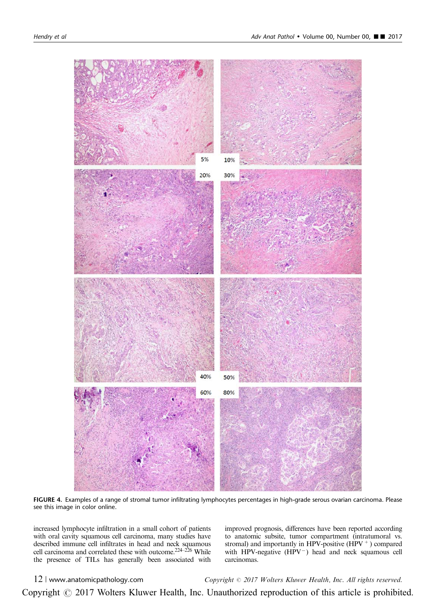<span id="page-11-0"></span>

FIGURE 4. Examples of a range of stromal tumor infiltrating lymphocytes percentages in high-grade serous ovarian carcinoma. Please see this image in color online.

increased lymphocyte infiltration in a small cohort of patients with oral cavity squamous cell carcinoma, many studies have described immune cell infiltrates in head and neck squamous cell carcinoma and correlated these with outcome.<sup>224–226</sup> While the presence of TILs has generally been associated with

improved prognosis, differences have been reported according to anatomic subsite, tumor compartment (intratumoral vs. stromal) and importantly in HPV-positive (HPV $^+$ ) compared with HPV-negative  $(HPV<sup>-</sup>)$  head and neck squamous cell carcinomas.

12 | www.anatomicpathology.com Copyright  $\odot$  2017 Wolters Kluwer Health, Inc. All rights reserved.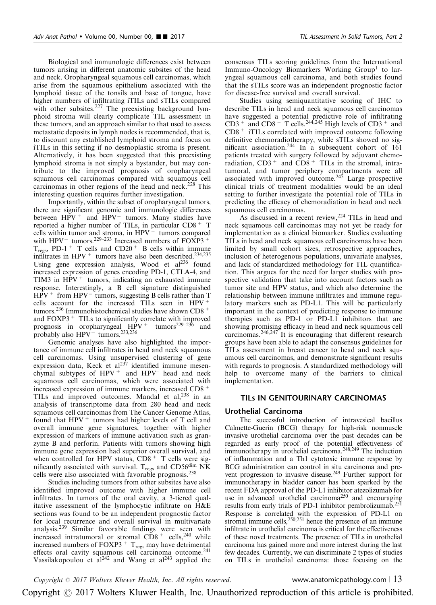Biological and immunologic differences exist between tumors arising in different anatomic subsites of the head and neck. Oropharyngeal squamous cell carcinomas, which arise from the squamous epithelium associated with the lymphoid tissue of the tonsils and base of tongue, have higher numbers of infiltrating iTILs and sTILs compared with other subsites.<sup>[227](#page-21-0)</sup> The preexisting background lymphoid stroma will clearly complicate TIL assessment in these tumors, and an approach similar to that used to assess metastatic deposits in lymph nodes is recommended, that is, to discount any established lymphoid stroma and focus on iTILs in this setting if no desmoplastic stroma is present. Alternatively, it has been suggested that this preexisting lymphoid stroma is not simply a bystander, but may contribute to the improved prognosis of oropharyngeal squamous cell carcinomas compared with squamous cell carcinomas in other regions of the head and neck.<sup>[228](#page-21-0)</sup> This interesting question requires further investigation.

Importantly, within the subset of oropharyngeal tumors, there are significant genomic and immunologic differences between  $HPV^+$  and  $HPV^-$  tumors. Many studies have reported a higher number of TILs, in particular CD8<sup>+</sup> T cells within tumor and stroma, in  $HPV<sup>+</sup>$  tumors compared with HPV<sup>-</sup> tumors.<sup>229–233</sup> Increased numbers of FOXP3<sup>+</sup>  $T_{\text{regs}}$ , PD-1<sup>+</sup> T cells and CD20<sup>+</sup> B cells within immune infiltrates in  $HPV<sup>+</sup>$  tumors have also been described.<sup>[234,235](#page-22-0)</sup> Using gene expression analysis, Wood et  $al^{236}$  $al^{236}$  $al^{236}$  found increased expression of genes encoding PD-1, CTLA-4, and TIM3 in  $HPV^+$  tumors, indicating an exhausted immune response. Interestingly, a B cell signature distinguished  $HPV$ <sup>+</sup> from HPV<sup>-</sup> tumors, suggesting B cells rather than T cells account for the increased TILs seen in HPV<sup>+</sup> tumors.<sup>[236](#page-22-0)</sup> Immunohistochemical studies have shown CD8<sup>+</sup> and  $FOXP3$ <sup>+</sup> TILs to significantly correlate with improved prognosis in oropharyngeal  $HPV^+$  tumors<sup>229–236</sup> and probably also  $HPV^-$  tumors.<sup>233,236</sup>

Genomic analyses have also highlighted the importance of immune cell infiltrates in head and neck squamous cell carcinomas. Using unsupervised clustering of gene expression data, Keck et al<sup>[237](#page-22-0)</sup> identified immune mesenchymal subtypes of  $HPV^+$  and  $HPV^-$  head and neck squamous cell carcinomas, which were associated with increased expression of immune markers, increased CD8 <sup>+</sup> TILs and improved outcomes. Mandal et al,<sup>[238](#page-22-0)</sup> in an analysis of transcriptome data from 280 head and neck squamous cell carcinomas from The Cancer Genome Atlas, found that  $HPV<sup>+</sup>$  tumors had higher levels of T cell and overall immune gene signatures, together with higher expression of markers of immune activation such as granzyme B and perforin. Patients with tumors showing high immune gene expression had superior overall survival, and when controlled for HPV status,  $CD8 + T$  cells were significantly associated with survival.  $T_{\text{regs}}$  and CD56 $\frac{\text{dim}}{\text{N}}$  NK cells were also associated with favorable prognosis.[238](#page-22-0)

Studies including tumors from other subsites have also identified improved outcome with higher immune cell infiltrates. In tumors of the oral cavity, a 3-tiered qualitative assessment of the lymphocytic infiltrate on H&E sections was found to be an independent prognostic factor for local recurrence and overall survival in multivariate analysis.[239](#page-22-0) Similar favorable findings were seen with increased intratumoral or stromal  $CD8 +$  cells,<sup>[240](#page-22-0)</sup> while increased numbers of  $FOXP3 + T_{\text{regs}}$  may have detrimental effects oral cavity squamous cell carcinoma outcome.<sup>[241](#page-22-0)</sup> Vassilakopoulou et  $al^{242}$  and Wang et  $al^{243}$  applied the consensus TILs scoring guidelines from the International Immuno-Oncology Biomarkers Working Group<sup>[1](#page-15-0)</sup> to laryngeal squamous cell carcinoma, and both studies found that the sTILs score was an independent prognostic factor for disease-free survival and overall survival.

Studies using semiquantitative scoring of IHC to describe TILs in head and neck squamous cell carcinomas have suggested a potential predictive role of infiltrating  $CD3$ <sup>+</sup> and  $CD8$ <sup>+</sup> T cells.<sup>[244,245](#page-22-0)</sup> High levels of  $CD3$ <sup>+</sup> and CD8 <sup>+</sup> iTILs correlated with improved outcome following definitive chemoradiotherapy, while sTILs showed no significant association.[244](#page-22-0) In a subsequent cohort of 161 patients treated with surgery followed by adjuvant chemoradiation,  $CD3^+$  and  $CD8^+$  TILs in the stromal, intratumoral, and tumor periphery compartments were all associated with improved outcome.<sup>[245](#page-22-0)</sup> Large prospective clinical trials of treatment modalities would be an ideal setting to further investigate the potential role of TILs in predicting the efficacy of chemoradiation in head and neck squamous cell carcinomas.

As discussed in a recent review, <sup>224</sup> TILs in head and neck squamous cell carcinomas may not yet be ready for implementation as a clinical biomarker. Studies evaluating TILs in head and neck squamous cell carcinomas have been limited by small cohort sizes, retrospective approaches, inclusion of heterogenous populations, univariate analyses, and lack of standardized methodology for TIL quantification. This argues for the need for larger studies with prospective validation that take into account factors such as tumor site and HPV status, and which also determine the relationship between immune infiltrates and immune regulatory markers such as PD-L1. This will be particularly important in the context of predicting response to immune therapies such as PD-1 or PD-L1 inhibitors that are showing promising efficacy in head and neck squamous cell carcinomas.[246,247](#page-22-0) It is encouraging that different research groups have been able to adapt the consensus guidelines for TILs assessment in breast cancer to head and neck squamous cell carcinomas, and demonstrate significant results with regards to prognosis. A standardized methodology will help to overcome many of the barriers to clinical implementation.

## TILs IN GENITOURINARY CARCINOMAS

## Urothelial Carcinoma

The successful introduction of intravesical bacillus Calmette-Guerin (BCG) therapy for high-risk nonmuscle invasive urothelial carcinoma over the past decades can be regarded as early proof of the potential effectiveness of immunotherapy in urothelial carcinoma.[248,249](#page-22-0) The induction of inflammation and a Th1 cytotoxic immune response by BCG administration can control in situ carcinoma and prevent progression to invasive disease.<sup>249</sup> Further support for immunotherapy in bladder cancer has been sparked by the recent FDA approval of the PD-L1 inhibitor atezolizumab for use in advanced urothelial carcinoma<sup>250</sup> and encouraging results from early trials of PD-1 inhibitor pembrolizumab.<sup>251</sup> Response is correlated with the expression of PD-L1 on stromal immune cells,  $250,251$  hence the presence of an immune infiltrate in urothelial carcinoma is critical for the effectiveness of these novel treatments. The presence of TILs in urothelial carcinoma has gained more and more interest during the last few decades. Currently, we can discriminate 2 types of studies on TILs in urothelial carcinoma: those focusing on the

Copyright  $\degree$  2017 Wolters Kluwer Health, Inc. All rights reserved. www.anatomicpathology.com | 13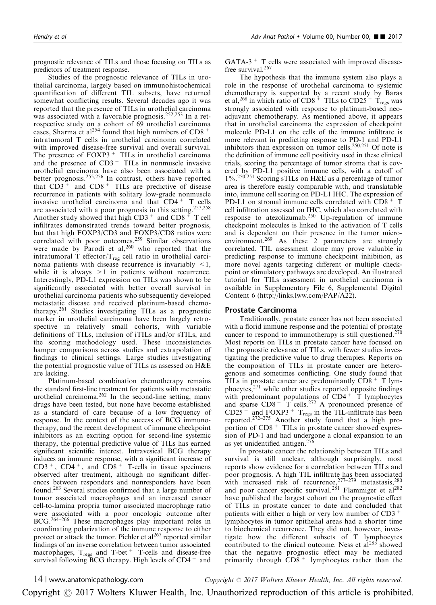prognostic relevance of TILs and those focusing on TILs as predictors of treatment response.

Studies of the prognostic relevance of TILs in urothelial carcinoma, largely based on immunohistochemical quantification of different TIL subsets, have returned somewhat conflicting results. Several decades ago it was reported that the presence of TILs in urothelial carcinoma was associated with a favorable prognosis.<sup>[252,253](#page-22-0)</sup> In a retrospective study on a cohort of 69 urothelial carcinoma cases, Sharma et al<sup>[254](#page-22-0)</sup> found that high numbers of CD8<sup>+</sup> intratumoral T cells in urothelial carcinoma correlated with improved disease-free survival and overall survival. The presence of  $FOXP3 + TILs$  in urothelial carcinoma and the presence of  $CD3<sup>+</sup>$  TILs in nonmuscle invasive urothelial carcinoma have also been associated with a better prognosis.[255,256](#page-22-0) In contrast, others have reported that  $CD3^+$  and  $CD8^+$  TILs are predictive of disease recurrence in patients with solitary low-grade nonmuscle invasive urothelial carcinoma and that CD4 <sup>+</sup> T cells are associated with a poor prognosis in this setting.<sup>[257,258](#page-22-0)</sup> Another study showed that high  $CD3^+$  and  $CD8^+$  T cell infiltrates demonstrated trends toward better prognosis, but that high FOXP3/CD3 and FOXP3/CD8 ratios were correlated with poor outcomes.<sup>[259](#page-22-0)</sup> Similar observations were made by Parodi et al,  $260$  who reported that the intratumoral T effector/ $T_{reg}$  cell ratio in urothelial carcinoma patients with disease recurrence is invariably  $\leq 1$ , while it is always  $>1$  in patients without recurrence. Interestingly, PD-L1 expression on TILs was shown to be significantly associated with better overall survival in urothelial carcinoma patients who subsequently developed metastatic disease and received platinum-based chemotherapy.[261](#page-22-0) Studies investigating TILs as a prognostic marker in urothelial carcinoma have been largely retrospective in relatively small cohorts, with variable definitions of TILs, inclusion of iTILs and/or sTILs, and the scoring methodology used. These inconsistencies hamper comparisons across studies and extrapolation of findings to clinical settings. Large studies investigating the potential prognostic value of TILs as assessed on H&E are lacking.

Platinum-based combination chemotherapy remains the standard first-line treatment for patients with metastatic urothelial carcinoma. $262$  In the second-line setting, many drugs have been tested, but none have become established as a standard of care because of a low frequency of response. In the context of the success of BCG immunotherapy, and the recent development of immune checkpoint inhibitors as an exciting option for second-line systemic therapy, the potential predictive value of TILs has earned significant scientific interest. Intravesical BCG therapy induces an immune response, with a significant increase of  $CD3^+$ ,  $CD4^+$ , and  $CD8^+$  T-cells in tissue specimens observed after treatment, although no significant differences between responders and nonresponders have been found.[263](#page-22-0) Several studies confirmed that a large number of tumor associated macrophages and an increased cancer cell-to-lamina propria tumor associated macrophage ratio were associated with a poor oncologic outcome after BCG.[264–266](#page-22-0) These macrophages play important roles in coordinating polarization of the immune response to either protect or attack the tumor. Pichler et  $al^{267}$  $al^{267}$  $al^{267}$  reported similar findings of an inverse correlation between tumor associated macrophages,  $T_{\text{regs}}$  and  $T$ -bet  $^+$  T-cells and disease-free survival following BCG therapy. High levels of  $CD4^+$  and

 $GATA-3$ <sup>+</sup> T cells were associated with improved disease-free survival.<sup>[267](#page-22-0)</sup>

The hypothesis that the immune system also plays a role in the response of urothelial carcinoma to systemic chemotherapy is supported by a recent study by Baras et al,<sup>[268](#page-22-0)</sup> in which ratio of CD8<sup>+</sup> TILs to CD25<sup>+</sup> T<sub>regs</sub> was strongly associated with response to platinum-based neoadjuvant chemotherapy. As mentioned above, it appears that in urothelial carcinoma the expression of checkpoint molecule PD-L1 on the cells of the immune infiltrate is more relevant in predicting response to PD-1 and PD-L1 inhibitors than expression on tumor cells.<sup>[250,251](#page-22-0)</sup> Of note is the definition of immune cell positivity used in these clinical trials, scoring the percentage of tumor stroma that is covered by PD-L1 positive immune cells, with a cutoff of 1%.[250,251](#page-22-0) Scoring sTILs on H&E as a percentage of tumor area is therefore easily comparable with, and translatable into, immune cell scoring on PD-L1 IHC. The expression of PD-L1 on stromal immune cells correlated with  $CD8 + T$ cell infiltration assessed on IHC, which also correlated with response to atezolizumab.<sup>[250](#page-22-0)</sup> Up-regulation of immune checkpoint molecules is linked to the activation of T cells and is dependent on their presence in the tumor micro-environment.<sup>[269](#page-22-0)</sup> As these 2 parameters are strongly correlated, TIL assessment alone may prove valuable in predicting response to immune checkpoint inhibition, as more novel agents targeting different or multiple checkpoint or stimulatory pathways are developed. An illustrated tutorial for TILs assessment in urothelial carcinoma is available in Supplementary File 6, Supplemental Digital Content 6 (<http://links.lww.com/PAP/A22>).

# Prostate Carcinoma

Traditionally, prostate cancer has not been associated with a florid immune response and the potential of prostate cancer to respond to immunotherapy is still questioned.[270](#page-23-0) Most reports on TILs in prostate cancer have focused on the prognostic relevance of TILs, with fewer studies investigating the predictive value to drug therapies. Reports on the composition of TILs in prostate cancer are heterogenous and sometimes conflicting. One study found that TILs in prostate cancer are predominantly  $CD8 + T$  lymphocytes,[271](#page-23-0) while other studies reported opposite findings with predominant populations of  $CD4^+$  T lymphocytes and sparse  $CD8 + T$  cells.<sup>[272](#page-23-0)</sup> A pronounced presence of  $CD25$ <sup>+</sup> and FOXP3<sup>+</sup> T<sub>regs</sub> in the TIL-infiltrate has been reported.[272–275](#page-23-0) Another study found that a high proportion of CD8<sup>+</sup> TILs in prostate cancer showed expression of PD-1 and had undergone a clonal expansion to an as yet unidentified antigen.<sup>[276](#page-23-0)</sup>

In prostate cancer the relationship between TILs and survival is still unclear, although surprisingly, most reports show evidence for a correlation between TILs and poor prognosis. A high TIL infiltrate has been associated with increased risk of recurrence,  $277-279$  metastasis,  $280$ and poor cancer specific survival.<sup>[281](#page-23-0)</sup> Flammiger et al<sup>[282](#page-23-0)</sup> have published the largest cohort on the prognostic effect of TILs in prostate cancer to date and concluded that patients with either a high or very low number of  $CD3$ <sup>+</sup> lymphocytes in tumor epithelial areas had a shorter time to biochemical recurrence. They did not, however, investigate how the different subsets of T lymphocytes contributed to the clinical outcome. Ness et  $al^{283}$  $al^{283}$  $al^{283}$  showed that the negative prognostic effect may be mediated primarily through  $CD8<sup>+</sup>$  lymphocytes rather than the

14 | www.anatomicpathology.com  $Copyright \odot 2017 \; Wolters \; Kluwer \; Health, \, Inc. \; All \; rights \; reserved.$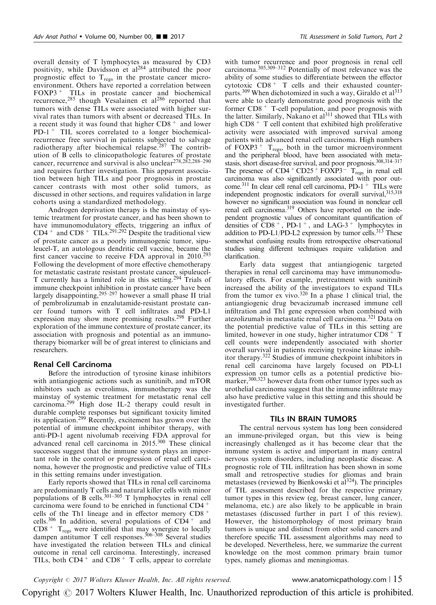overall density of T lymphocytes as measured by CD3 positivity, while Davidsson et al<sup>[284](#page-23-0)</sup> attributed the poor prognostic effect to  $T_{\text{regs}}$  in the prostate cancer microenvironment. Others have reported a correlation between FOXP3<sup>+</sup> TILs in prostate cancer and biochemical recurrence,<sup>[285](#page-23-0)</sup> though Vesalainen et al<sup>[286](#page-23-0)</sup> reported that tumors with dense TILs were associated with higher survival rates than tumors with absent or decreased TILs. In a recent study it was found that higher  $CD8<sup>+</sup>$  and lower PD-1 <sup>+</sup> TIL scores correlated to a longer biochemicalrecurrence free survival in patients subjected to salvage radiotherapy after biochemical relapse.<sup>[287](#page-23-0)</sup> The contribution of B cells to clinicopathologic features of prostate cancer, recurrence and survival is also unclear<sup>278,282</sup>,288-290 and requires further investigation. This apparent association between high TILs and poor prognosis in prostate cancer contrasts with most other solid tumors, as discussed in other sections, and requires validation in large cohorts using a standardized methodology.

Androgen deprivation therapy is the mainstay of systemic treatment for prostate cancer, and has been shown to have immunomodulatory effects, triggering an influx of  $CD4^+$  and  $CD8^+$  TILs.<sup>291,292</sup> Despite the traditional view of prostate cancer as a poorly immunogenic tumor, sipuleucel-T, an autologous dendritic cell vaccine, became the first cancer vaccine to receive FDA approval in 2010.<sup>[293](#page-23-0)</sup> Following the development of more effective chemotherapy for metastatic castrate resistant prostate cancer, sipuleucel-T currently has a limited role in this setting.<sup>[294](#page-23-0)</sup> Trials of immune checkpoint inhibition in prostate cancer have been largely disappointing,<sup>295-297</sup> however a small phase II trial of pembrolizumab in enzalutamide-resistant prostate cancer found tumors with T cell infiltrates and PD-L1 expression may show more promising results.<sup>[298](#page-23-0)</sup> Further exploration of the immune contexture of prostate cancer, its association with prognosis and potential as an immunotherapy biomarker will be of great interest to clinicians and researchers.

## Renal Cell Carcinoma

Before the introduction of tyrosine kinase inhibitors with antiangiogenic actions such as sunitinib, and mTOR inhibitors such as everolimus, immunotherapy was the mainstay of systemic treatment for metastatic renal cell carcinoma.[299](#page-23-0) High dose IL-2 therapy could result in durable complete responses but significant toxicity limited its application.[299](#page-23-0) Recently, excitement has grown over the potential of immune checkpoint inhibitor therapy, with anti-PD-1 agent nivolumab receiving FDA approval for advanced renal cell carcinoma in 2015.[300](#page-23-0) These clinical successes suggest that the immune system plays an important role in the control or progression of renal cell carcinoma, however the prognostic and predictive value of TILs in this setting remains under investigation.

Early reports showed that TILs in renal cell carcinoma are predominantly T cells and natural killer cells with minor populations of B cells.<sup>[301–305](#page-23-0)</sup> T lymphocytes in renal cell carcinoma were found to be enriched in functional CD4 <sup>+</sup> cells of the Th1 lineage and in effector memory CD8 <sup>+</sup> cells.<sup>[306](#page-23-0)</sup> In addition, several populations of  $CD4^+$  and  $CD8$ <sup>+</sup> T<sub>regs</sub> were identified that may synergize to locally dampen antitumor T cell responses.<sup>[306–308](#page-23-0)</sup> Several studies have investigated the relation between TILs and clinical outcome in renal cell carcinoma. Interestingly, increased TILs, both  $CD4^+$  and  $CD8^+$  T cells, appear to correlate

with tumor recurrence and poor prognosis in renal cell carcinoma.[305,309–312](#page-23-0) Potentially of most relevance was the ability of some studies to differentiate between the effector cytotoxic CD8 <sup>+</sup> T cells and their exhausted counter-parts.<sup>[309](#page-23-0)</sup> When dichotomized in such a way, Giraldo et al<sup>[313](#page-24-0)</sup> were able to clearly demonstrate good prognosis with the former  $CD8 + T$ -cell population, and poor prognosis with the latter. Similarly, Nakano et  $al<sup>311</sup>$  $al<sup>311</sup>$  $al<sup>311</sup>$  showed that TILs with high CD8<sup>+</sup> T cell content that exhibited high proliferative activity were associated with improved survival among patients with advanced renal cell carcinoma. High numbers of FOXP3<sup>+</sup>  $T_{regs}$ , both in the tumor microenvironment and the peripheral blood, have been associated with metastasis, short disease-free survival, and poor prognosis.<sup>308,314–317</sup> The presence of  $CD4 + CD25 + FOXP3 - T_{regs}$  in renal cell carcinoma was also significantly associated with poor outcome.<sup>311</sup> In clear cell renal cell carcinoma, PD-1<sup>+</sup> TILs were independent prognostic indicators for overall survival, 315,318 however no significant association was found in nonclear cell renal cell carcinoma.<sup>319</sup> Others have reported on the independent prognostic values of concomitant quantification of densities of  $\text{CD}8^+$ , PD-1<sup>+</sup>, and LAG-3<sup>+</sup> lymphocytes in addition to PD-L1/PD-L2 expression by tumor cells.<sup>313</sup> These somewhat confusing results from retrospective observational studies using different techniques require validation and clarification.

Early data suggest that antiangiogenic targeted therapies in renal cell carcinoma may have immunomodulatory effects. For example, pretreatment with sunitinib increased the ability of the investigators to expand TILs from the tumor ex vivo.[320](#page-24-0) In a phase 1 clinical trial, the antiangiogenic drug bevacizumab increased immune cell infiltration and Th1 gene expression when combined with atezolizumab in metastatic renal cell carcinoma.[321](#page-24-0) Data on the potential predictive value of TILs in this setting are limited, however in one study, higher intratumor CD8 <sup>+</sup> T cell counts were independently associated with shorter overall survival in patients receiving tyrosine kinase inhibitor therapy.[322](#page-24-0) Studies of immune checkpoint inhibitors in renal cell carcinoma have largely focused on PD-L1 expression on tumor cells as a potential predictive bio-marker,<sup>[300,323](#page-23-0)</sup> however data from other tumor types such as urothelial carcinoma suggest that the immune infiltrate may also have predictive value in this setting and this should be investigated further.

#### TILs IN BRAIN TUMORS

The central nervous system has long been considered an immune-privileged organ, but this view is being increasingly challenged as it has become clear that the immune system is active and important in many central nervous system disorders, including neoplastic disease. A prognostic role of TIL infiltration has been shown in some small and retrospective studies for gliomas and brain metastases (reviewed by Bienkowski et al<sup>324</sup>). The principles of TIL assessment described for the respective primary tumor types in this review (eg, breast cancer, lung cancer, melanoma, etc.) are also likely to be applicable in brain metastases (discussed further in part 1 of this review). However, the histomorphology of most primary brain tumors is unique and distinct from other solid cancers and therefore specific TIL assessment algorithms may need to be developed. Nevertheless, here, we summarize the current knowledge on the most common primary brain tumor types, namely gliomas and meningiomas.

Copyright  $\degree$  2017 Wolters Kluwer Health, Inc. All rights reserved. www.anatomicpathology.com | 15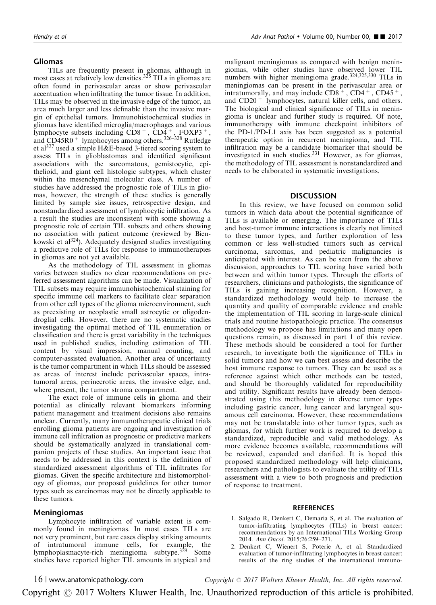# <span id="page-15-0"></span>Gliomas

TILs are frequently present in gliomas, although in most cases at relatively low densities.<sup>[325](#page-24-0)</sup> TILs in gliomas are often found in perivascular areas or show perivascular accentuation when infiltrating the tumor tissue. In addition, TILs may be observed in the invasive edge of the tumor, an area much larger and less definable than the invasive margin of epithelial tumors. Immunohistochemical studies in gliomas have identified microglia/macrophages and various lymphocyte subsets including  $CD8^+$ ,  $CD4^+$ ,  $FOXP3^+$ , and CD45R0<sup>+</sup> lymphocytes among others.<sup>[326–328](#page-24-0)</sup> Rutledge et al<sup>[327](#page-24-0)</sup> used a simple H&E-based 3-tiered scoring system to assess TILs in glioblastomas and identified significant associations with the sarcomatous, gemistocytic, epithelioid, and giant cell histologic subtypes, which cluster within the mesenchymal molecular class. A number of studies have addressed the prognostic role of TILs in gliomas, however, the strength of these studies is generally limited by sample size issues, retrospective design, and nonstandardized assessment of lymphocytic infiltration. As a result the studies are inconsistent with some showing a prognostic role of certain TIL subsets and others showing no association with patient outcome (reviewed by Bien-kowski et al<sup>[324](#page-24-0)</sup>). Adequately designed studies investigating a predictive role of TILs for response to immunotherapies in gliomas are not yet available.

As the methodology of TIL assessment in gliomas varies between studies no clear recommendations on preferred assessment algorithms can be made. Visualization of TIL subsets may require immunohistochemical staining for specific immune cell markers to facilitate clear separation from other cell types of the glioma microenvironment, such as preexisting or neoplastic small astrocytic or oligodendroglial cells. However, there are no systematic studies investigating the optimal method of TIL enumeration or classification and there is great variability in the techniques used in published studies, including estimation of TIL content by visual impression, manual counting, and computer-assisted evaluation. Another area of uncertainty is the tumor compartment in which TILs should be assessed as areas of interest include perivascular spaces, intratumoral areas, perinecrotic areas, the invasive edge, and, where present, the tumor stroma compartment.

The exact role of immune cells in glioma and their potential as clinically relevant biomarkers informing patient management and treatment decisions also remains unclear. Currently, many immunotherapeutic clinical trials enrolling glioma patients are ongoing and investigation of immune cell infiltration as prognostic or predictive markers should be systematically analyzed in translational companion projects of these studies. An important issue that needs to be addressed in this context is the definition of standardized assessment algorithms of TIL infiltrates for gliomas. Given the specific architecture and histomorphology of gliomas, our proposed guidelines for other tumor types such as carcinomas may not be directly applicable to these tumors.

## Meningiomas

Lymphocyte infiltration of variable extent is commonly found in meningiomas. In most cases TILs are not very prominent, but rare cases display striking amounts of intratumoral immune cells, for example, the lymphoplasmacyte-rich meningioma subtype.<sup>[329](#page-24-0)</sup> Some studies have reported higher TIL amounts in atypical and

malignant meningiomas as compared with benign meningiomas, while other studies have observed lower TIL numbers with higher meningioma grade.[324,325,330](#page-24-0) TILs in meningiomas can be present in the perivascular area or intratumorally, and may include  $CD8^+$ ,  $CD4^+$ ,  $CD45^+$ , and  $CD20<sup>+</sup>$  lymphocytes, natural killer cells, and others. The biological and clinical significance of TILs in meningioma is unclear and further study is required. Of note, immunotherapy with immune checkpoint inhibitors of the PD-1/PD-L1 axis has been suggested as a potential therapeutic option in recurrent meningioma, and TIL infiltration may be a candidate biomarker that should be investigated in such studies.[331](#page-24-0) However, as for gliomas, the methodology of TIL assessment is nonstandardized and needs to be elaborated in systematic investigations.

## **DISCUSSION**

In this review, we have focused on common solid tumors in which data about the potential significance of TILs is available or emerging. The importance of TILs and host-tumor immune interactions is clearly not limited to these tumor types, and further exploration of less common or less well-studied tumors such as cervical carcinoma, sarcomas, and pediatric malignancies is anticipated with interest. As can be seen from the above discussion, approaches to TIL scoring have varied both between and within tumor types. Through the efforts of researchers, clinicians and pathologists, the significance of TILs is gaining increasing recognition. However, a standardized methodology would help to increase the quantity and quality of comparable evidence and enable the implementation of TIL scoring in large-scale clinical trials and routine histopathologic practice. The consensus methodology we propose has limitations and many open questions remain, as discussed in part 1 of this review. These methods should be considered a tool for further research, to investigate both the significance of TILs in solid tumors and how we can best assess and describe the host immune response to tumors. They can be used as a reference against which other methods can be tested, and should be thoroughly validated for reproducibility and utility. Significant results have already been demonstrated using this methodology in diverse tumor types including gastric cancer, lung cancer and laryngeal squamous cell carcinoma. However, these recommendations may not be translatable into other tumor types, such as gliomas, for which further work is required to develop a standardized, reproducible and valid methodology. As more evidence becomes available, recommendations will be reviewed, expanded and clarified. It is hoped this proposed standardized methodology will help clinicians, researchers and pathologists to evaluate the utility of TILs assessment with a view to both prognosis and prediction of response to treatment.

## **REFERENCES**

- 1. Salgado R, Denkert C, Demaria S, et al. The evaluation of tumor-infiltrating lymphocytes (TILs) in breast cancer: recommendations by an International TILs Working Group 2014. Ann Oncol. 2015;26:259–271.
- 2. Denkert C, Wienert S, Poterie A, et al. Standardized evaluation of tumor-infiltrating lymphocytes in breast cancer: results of the ring studies of the international immuno-

16 | www.anatomicpathology.com  $Copyright \odot 2017 \; Wolters \; Kluwer \; Health, \; Inc. \; All \; rights \; reserved.$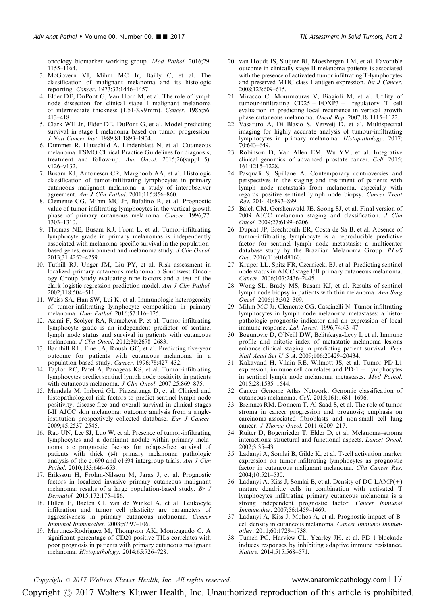<span id="page-16-0"></span>oncology biomarker working group. Mod Pathol. 2016;29: 1155–1164.

- 3. McGovern VJ, Mihm MC Jr, Bailly C, et al. The classification of malignant melanoma and its histologic reporting. Cancer. 1973;32:1446–1457.
- 4. Elder DE, DuPont G, Van Horn M, et al. The role of lymph node dissection for clinical stage I malignant melanoma of intermediate thickness (1.51-3.99 mm). Cancer. 1985;56: 413–418.
- 5. Clark WH Jr, Elder DE, DuPont G, et al. Model predicting survival in stage I melanoma based on tumor progression. J Natl Cancer Inst. 1989;81:1893–1904.
- 6. Dummer R, Hauschild A, Lindenblatt N, et al. Cutaneous melanoma: ESMO Clinical Practice Guidelines for diagnosis, treatment and follow-up. Ann Oncol. 2015;26(suppl 5): v126–v132.
- 7. Busam KJ, Antonescu CR, Marghoob AA, et al. Histologic classification of tumor-infiltrating lymphocytes in primary cutaneous malignant melanoma: a study of interobserver agreement. Am J Clin Pathol. 2001;115:856–860.
- 8. Clemente CG, Mihm MC Jr, Bufalino R, et al. Prognostic value of tumor infiltrating lymphocytes in the vertical growth phase of primary cutaneous melanoma. Cancer. 1996;77: 1303–1310.
- 9. Thomas NE, Busam KJ, From L, et al. Tumor-infiltrating lymphocyte grade in primary melanomas is independently associated with melanoma-specific survival in the populationbased genes, environment and melanoma study. J Clin Oncol. 2013;31:4252–4259.
- 10. Tuthill RJ, Unger JM, Liu PY, et al. Risk assessment in localized primary cutaneous melanoma: a Southwest Oncology Group Study evaluating nine factors and a test of the clark logistic regression prediction model. Am J Clin Pathol. 2002;118:504–511.
- 11. Weiss SA, Han SW, Lui K, et al. Immunologic heterogeneity of tumor-infiltrating lymphocyte composition in primary melanoma. Hum Pathol. 2016;57:116–125.
- 12. Azimi F, Scolyer RA, Rumcheva P, et al. Tumor-infiltrating lymphocyte grade is an independent predictor of sentinel lymph node status and survival in patients with cutaneous melanoma. J Clin Oncol. 2012;30:2678–2683.
- 13. Barnhill RL, Fine JA, Roush GC, et al. Predicting five-year outcome for patients with cutaneous melanoma in a population-based study. Cancer. 1996;78:427-432.
- 14. Taylor RC, Patel A, Panageas KS, et al. Tumor-infiltrating lymphocytes predict sentinel lymph node positivity in patients with cutaneous melanoma. J Clin Oncol. 2007;25:869-875.
- 15. Mandala M, Imberti GL, Piazzalunga D, et al. Clinical and histopathological risk factors to predict sentinel lymph node positivity, disease-free and overall survival in clinical stages I-II AJCC skin melanoma: outcome analysis from a singleinstitution prospectively collected database. Eur J Cancer. 2009;45:2537–2545.
- 16. Rao UN, Lee SJ, Luo W, et al. Presence of tumor-infiltrating lymphocytes and a dominant nodule within primary melanoma are prognostic factors for relapse-free survival of patients with thick (t4) primary melanoma: pathologic analysis of the e1690 and e1694 intergroup trials. Am J Clin Pathol. 2010;133:646–653.
- 17. Eriksson H, Frohm-Nilsson M, Jaras J, et al. Prognostic factors in localized invasive primary cutaneous malignant melanoma: results of a large population-based study. Br J Dermatol. 2015;172:175–186.
- 18. Hillen F, Baeten CI, van de Winkel A, et al. Leukocyte infiltration and tumor cell plasticity are parameters of aggressiveness in primary cutaneous melanoma. Cancer Immunol Immunother. 2008;57:97–106.
- 19. Martinez-Rodriguez M, Thompson AK, Monteagudo C. A significant percentage of CD20-positive TILs correlates with poor prognosis in patients with primary cutaneous malignant melanoma. Histopathology. 2014;65:726–728.
- 20. van Houdt IS, Sluijter BJ, Moesbergen LM, et al. Favorable outcome in clinically stage II melanoma patients is associated with the presence of activated tumor infiltrating T-lymphocytes and preserved MHC class I antigen expression. Int J Cancer. 2008;123:609–615.
- 21. Miracco C, Mourmouras V, Biagioli M, et al. Utility of tumour-infiltrating  $CD25 + FOXP3 +$  regulatory T cell evaluation in predicting local recurrence in vertical growth phase cutaneous melanoma. Oncol Rep. 2007;18:1115–1122.
- 22. Vasaturo A, Di Blasio S, Verweij D, et al. Multispectral imaging for highly accurate analysis of tumour-infiltrating lymphocytes in primary melanoma. Histopathology. 2017; 70:643–649.
- 23. Robinson D, Van Allen EM, Wu YM, et al. Integrative clinical genomics of advanced prostate cancer. Cell. 2015; 161:1215–1228.
- 24. Pasquali S, Spillane A. Contemporary controversies and perspectives in the staging and treatment of patients with lymph node metastasis from melanoma, especially with regards positive sentinel lymph node biopsy. Cancer Treat Rev. 2014;40:893–899.
- 25. Balch CM, Gershenwald JE, Soong SJ, et al. Final version of 2009 AJCC melanoma staging and classification. J Clin Oncol. 2009;27:6199–6206.
- 26. Duprat JP, Brechtbulh ER, Costa de Sa B, et al. Absence of tumor-infiltrating lymphocyte is a reproducible predictive factor for sentinel lymph node metastasis: a multicenter database study by the Brazilian Melanoma Group. PLoS One. 2016;11:e0148160.
- 27. Kruper LL, Spitz FR, Czerniecki BJ, et al. Predicting sentinel node status in AJCC stage I/II primary cutaneous melanoma. Cancer. 2006;107:2436–2445.
- 28. Wong SL, Brady MS, Busam KJ, et al. Results of sentinel lymph node biopsy in patients with thin melanoma. Ann Surg Oncol. 2006;13:302–309.
- 29. Mihm MC Jr, Clemente CG, Cascinelli N. Tumor infiltrating lymphocytes in lymph node melanoma metastases: a histopathologic prognostic indicator and an expression of local immune response. Lab Invest. 1996;74:43-47.
- 30. Bogunovic D, O'Neill DW, Belitskaya-Levy I, et al. Immune profile and mitotic index of metastatic melanoma lesions enhance clinical staging in predicting patient survival. Proc Natl Acad Sci U S A. 2009;106:20429–20434.
- 31. Kakavand H, Vilain RE, Wilmott JS, et al. Tumor PD-L1 expression, immune cell correlates and  $PD-1+1$  lymphocytes in sentinel lymph node melanoma metastases. Mod Pathol. 2015;28:1535–1544.
- 32. Cancer Genome Atlas Network. Genomic classification of cutaneous melanoma. Cell. 2015;161:1681–1696.
- 33. Bremnes RM, Donnem T, Al-Saad S, et al. The role of tumor stroma in cancer progression and prognosis; emphasis on carcinoma-associated fibroblasts and non-small cell lung cancer. J Thorac Oncol. 2011;6:209-217.
- 34. Ruiter D, Bogenrieder T, Elder D, et al. Melanoma–stroma interactions: structural and functional aspects. Lancet Oncol. 2002;3:35–43.
- 35. Ladanyi A, Somlai B, Gilde K, et al. T-cell activation marker expression on tumor-infiltrating lymphocytes as prognostic factor in cutaneous malignant melanoma. Clin Cancer Res. 2004;10:521–530.
- 36. Ladanyi A, Kiss J, Somlai B, et al. Density of DC-LAMP(+) mature dendritic cells in combination with activated T lymphocytes infiltrating primary cutaneous melanoma is a strong independent prognostic factor. Cancer Immunol Immunother. 2007;56:1459–1469.
- 37. Ladanyi A, Kiss J, Mohos A, et al. Prognostic impact of Bcell density in cutaneous melanoma. Cancer Immunol Immunother. 2011;60:1729–1738.
- 38. Tumeh PC, Harview CL, Yearley JH, et al. PD-1 blockade induces responses by inhibiting adaptive immune resistance. Nature. 2014;515:568–571.

Copyright  $\degree$  2017 Wolters Kluwer Health, Inc. All rights reserved. www.anatomicpathology.com | 17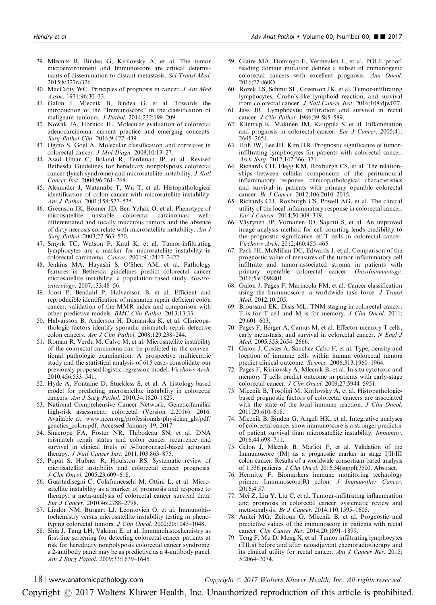- <span id="page-17-0"></span>39. Mlecnik B, Bindea G, Kirilovsky A, et al. The tumor microenvironment and Immunoscore are critical determinants of dissemination to distant metastasis. Sci Transl Med. 2015;8:327ra326.
- 40. MacCarty WC. Principles of prognosis in cancer. J Am Med Assoc. 1931;96:30–33.
- 41. Galon J, Mlecnik B, Bindea G, et al. Towards the introduction of the "Immunoscore" in the classification of malignant tumours. J Pathol. 2014;232:199–209.
- 42. Nowak JA, Hornick JL. Molecular evaluation of colorectal adenocarcinoma: current practice and emerging concepts. Surg Pathol Clin. 2016;9:427–439.
- 43. Ogino S, Goel A. Molecular classification and correlates in colorectal cancer. J Mol Diagn. 2008;10:13–27.
- 44. Asad Umar C, Boland R, Terdiman JP, et al. Revised Bethesda Guidelines for hereditary nonpolyposis colorectal cancer (lynch syndrome) and microsatellite instability. J Natl Cancer Inst. 2004;96:261–268.
- 45. Alexander J, Watanabe T, Wu T, et al. Histopathological identification of colon cancer with microsatellite instability. Am J Pathol. 2001;158:527–535.
- 46. Greenson JK, Bonner JD, Ben-Yzhak O, et al. Phenotype of microsatellite unstable colorectal carcinomas: welldifferentiated and focally mucinous tumors and the absence of dirty necrosis correlate with microsatellite instability. Am J Surg Pathol. 2003;27:563–570.
- 47. Smyrk TC, Watson P, Kaul K, et al. Tumor-infiltrating lymphocytes are a marker for microsatellite instability in colorectal carcinoma. Cancer. 2001;91:2417–2422.
- 48. Jenkins MA, Hayashi S, O'Shea AM, et al. Pathology features in Bethesda guidelines predict colorectal cancer microsatellite instability: a population-based study. Gastroenterology. 2007;133:48–56.
- 49. Joost P, Bendahl P, Halvarsson B, et al. Efficient and reproducible identification of mismatch repair deficient colon cancer: validation of the MMR index and comparison with other predictive models. BMC Clin Pathol. 2013;13:33.
- 50. Halvarsson B, Anderson H, Domanska K, et al. Clinicopathologic factors identify sporadic mismatch repair-defective colon cancers. Am J Clin Pathol. 2008;129:238–244.
- 51. Roman R, Verdu M, Calvo M, et al. Microsatellite instability of the colorectal carcinoma can be predicted in the conventional pathologic examination. A prospective multicentric study and the statistical analysis of 615 cases consolidate our previously proposed logistic regression model. Virchows Arch. 2010;456:533–541.
- 52. Hyde A, Fontaine D, Stuckless S, et al. A histology-based model for predicting microsatellite instability in colorectal cancers. Am J Surg Pathol. 2010;34:1820–1829.
- 53. National Comprehensive Cancer Network. Genetic/familial high-risk assessment: colorectal (Version 2.2016). 2016. Available at: [www.nccn.org/professionals/physician\\_gls/pdf/](http://www.nccn.org/professionals/physician_gls/pdf/genetics_colon.pdf) [genetics\\_colon.pdf.](http://www.nccn.org/professionals/physician_gls/pdf/genetics_colon.pdf) Accessed January 19, 2017.
- 54. Sinicrope FA, Foster NR, Thibodeau SN, et al. DNA mismatch repair status and colon cancer recurrence and survival in clinical trials of 5-fluorouracil-based adjuvant therapy. J Natl Cancer Inst. 2011;103:863–875.
- 55. Popat S, Hubner R, Houlston RS. Systematic review of microsatellite instability and colorectal cancer prognosis. J Clin Oncol. 2005;23:609–618.
- 56. Guastadisegni C, Colafranceschi M, Ottini L, et al. Microsatellite instability as a marker of prognosis and response to therapy: a meta-analysis of colorectal cancer survival data. Eur J Cancer. 2010;46:2788–2798.
- 57. Lindor NM, Burgart LJ, Leontovich O, et al. Immunohistochemistry versus microsatellite instability testing in phenotyping colorectal tumors. J Clin Oncol. 2002;20:1043-1048.
- 58. Shia J, Tang LH, Vakiani E, et al. Immunohistochemistry as first-line screening for detecting colorectal cancer patients at risk for hereditary nonpolyposis colorectal cancer syndrome: a 2-antibody panel may be as predictive as a 4-antibody panel. Am J Surg Pathol. 2009;33:1639–1645.
- 59. Glaire MA, Domingo E, Vermeulen L, et al. POLE proofreading domain mutation defines a subset of immunogenic colorectal cancers with excellent prognosis. Ann Oncol. 2016;27:460O.
- 60. Rozek LS, Schmit SL, Greenson JK, et al. Tumor-infiltrating lymphocytes, Crohn's-like lymphoid reaction, and survival from colorectal cancer. J Natl Cancer Inst. 2016;108:djw027.
- 61. Jass JR. Lymphocytic infiltration and survival in rectal cancer. J Clin Pathol. 1986;39:585-589.
- 62. Klintrup K, Makinen JM, Kauppila S, et al. Inflammation and prognosis in colorectal cancer. Eur J Cancer. 2005;41: 2645–2654.
- 63. Huh JW, Lee JH, Kim HR. Prognostic significance of tumorinfiltrating lymphocytes for patients with colorectal cancer. Arch Surg. 2012;147:366–371.
- 64. Richards CH, Flegg KM, Roxburgh CS, et al. The relationships between cellular components of the peritumoural inflammatory response, clinicopathological characteristics and survival in patients with primary operable colorectal cancer. Br J Cancer. 2012;106:2010-2015.
- 65. Richards CH, Roxburgh CS, Powell AG, et al. The clinical utility of the local inflammatory response in colorectal cancer. Eur J Cancer. 2014;50:309–319.
- 66. Väyrynen JP, Vornanen JO, Sajanti S, et al. An improved image analysis method for cell counting lends credibility to the prognostic significance of T cells in colorectal cancer. Virchows Arch. 2012;460:455–465.
- 67. Park JH, McMillan DC, Edwards J, et al. Comparison of the prognostic value of measures of the tumor inflammatory cell infiltrate and tumor-associated stroma in patients with primary operable colorectal cancer. OncoImmunology. 2016;5:e1098801.
- 68. Galon J, Pages F, Marincola FM, et al. Cancer classification using the Immunoscore: a worldwide task force. J Transl Med. 2012;10:205.
- 69. Broussard EK, Disis ML. TNM staging in colorectal cancer: T is for T cell and M is for memory. J Clin Oncol. 2011; 29:601–603.
- 70. Pages F, Berger A, Camus M, et al. Effector memory T cells, early metastasis, and survival in colorectal cancer. N Engl J Med. 2005;353:2654–2666.
- 71. Galon J, Costes A, Sanchez-Cabo F, et al. Type, density and location of immune cells within human colorectal tumors predict clinical outcome. Science. 2006;313:1960–1964.
- 72. Pages F, Kirilovsky A, Mlecnik B, et al. In situ cytotoxic and memory T cells predict outcome in patients with early-stage colorectal cancer. J Clin Oncol. 2009;27:5944–5951.
- 73. Mlecnik B, Tosolini M, Kirilovsky A, et al. Histopathologicbased prognostic factors of colorectal cancers are associated with the state of the local immune reaction. J Clin Oncol. 2011;29:610–618.
- 74. Mlecnik B, Bindea G, Angell HK, et al. Integrative analyses of colorectal cancer show immunoscore is a stronger predictor of patient survival than microsatellite instability. Immunity. 2016;44:698–711.
- 75. Galon J, Mlecnik B, Marliot F, et al. Validation of the Immunoscore (IM) as a prognostic marker in stage I/II/III colon cancer: Results of a worldwide consortium-based analysis of 1,336 patients. J Clin Oncol. 2016;34(suppl):3500. Abstract.
- 76. Hermitte F. Biomarkers immune monitoring technology primer: Immunoscore(R) colon. J Immunother Cancer. 2016;4:57.
- 77. Mei Z, Liu Y, Liu C, et al. Tumour-infiltrating inflammation and prognosis in colorectal cancer: systematic review and meta-analysis. Br J Cancer. 2014;110:1595–1605.
- 78. Anitei MG, Zeitoun G, Mlecnik B, et al. Prognostic and predictive values of the immunoscore in patients with rectal cancer. Clin Cancer Res. 2014;20:1891–1899.
- 79. Teng F, Mu D, Meng X, et al. Tumor infiltrating lymphocytes (TILs) before and after neoadjuvant chemoradiotherapy and its clinical utility for rectal cancer. Am J Cancer Res. 2015; 5:2064–2074.

18 | www.anatomicpathology.com  $Copyright \odot 2017 \; Wolters \; Kluwer \; Health, \; Inc. \; All \; rights \; reserved.$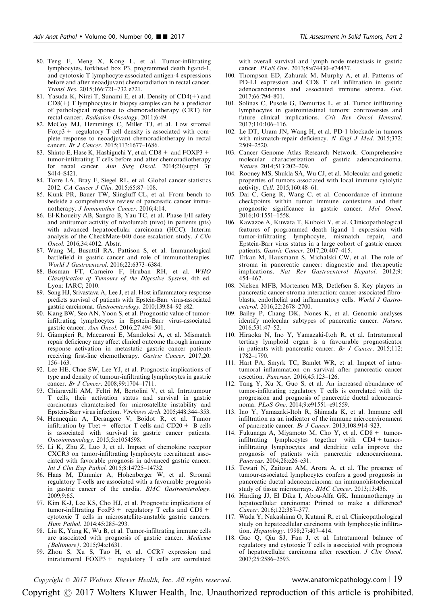- <span id="page-18-0"></span>80. Teng F, Meng X, Kong L, et al. Tumor-infiltrating lymphocytes, forkhead box P3, programmed death ligand-1, and cytotoxic T lymphocyte-associated antigen-4 expressions before and after neoadjuvant chemoradiation in rectal cancer. Transl Res. 2015;166:721–732 e721.
- 81. Yasuda K, Nirei T, Sunami E, et al. Density of CD4(+) and  $CD8(+)$  T lymphocytes in biopsy samples can be a predictor of pathological response to chemoradiotherapy (CRT) for rectal cancer. Radiation Oncology. 2011;6:49.
- 82. McCoy MJ, Hemmings C, Miller TJ, et al. Low stromal Foxp3 + regulatory T-cell density is associated with complete response to neoadjuvant chemoradiotherapy in rectal cancer. Br J Cancer. 2015;113:1677–1686.
- 83. Shinto E, Hase K, Hashiguchi Y, et al.  $CD8 +$  and  $FOXP3 +$ tumor-infiltrating T cells before and after chemoradiotherapy for rectal cancer. Ann Surg Oncol. 2014;21(suppl 3): S414–S421.
- 84. Torre LA, Bray F, Siegel RL, et al. Global cancer statistics 2012. CA Cancer J Clin. 2015;65:87–108.
- 85. Kunk PR, Bauer TW, Slingluff CL, et al. From bench to bedside a comprehensive review of pancreatic cancer immunotherapy. J Immunother Cancer. 2016;4:14.
- 86. El-Khoueiry AB, Sangro B, Yau TC, et al. Phase I/II safety and antitumor activity of nivolumab (nivo) in patients (pts) with advanced hepatocellular carcinoma (HCC): Interim analysis of the CheckMate-040 dose escalation study. J Clin Oncol. 2016;34:4012. Abstr.
- 87. Wang M, Busuttil RA, Pattison S, et al. Immunological battlefield in gastric cancer and role of immunotherapies. World J Gastroenterol. 2016;22:6373–6384.
- 88. Bosman FT, Carneiro F, Hruban RH, et al. WHO Classification of Tumours of the Digestive System, 4th ed. Lyon: IARC; 2010.
- 89. Song HJ, Srivastava A, Lee J, et al. Host inflammatory response predicts survival of patients with Epstein-Barr virus-associated gastric carcinoma. Gastroenterology. 2010;139:84-92 e82.
- 90. Kang BW, Seo AN, Yoon S, et al. Prognostic value of tumorinfiltrating lymphocytes in Epstein-Barr virus-associated gastric cancer. Ann Oncol. 2016;27:494–501.
- 91. Giampieri R, Maccaroni E, Mandolesi A, et al. Mismatch repair deficiency may affect clinical outcome through immune response activation in metastatic gastric cancer patients receiving first-line chemotherapy. Gastric Cancer. 2017;20: 156–163.
- 92. Lee HE, Chae SW, Lee YJ, et al. Prognostic implications of type and density of tumour-infiltrating lymphocytes in gastric cancer. Br J Cancer. 2008;99:1704-1711.
- 93. Chiaravalli AM, Feltri M, Bertolini V, et al. Intratumour T cells, their activation status and survival in gastric carcinomas characterised for microsatellite instability and Epstein-Barr virus infection. Virchows Arch. 2005;448:344–353.
- 94. Hennequin A, Derangere V, Boidot R, et al. Tumor infiltration by Tbet + effector T cells and  $CD20 + B$  cells is associated with survival in gastric cancer patients. Oncoimmunology. 2015;5:e1054598.
- 95. Li K, Zhu Z, Luo J, et al. Impact of chemokine receptor CXCR3 on tumor-infiltrating lymphocyte recruitment associated with favorable prognosis in advanced gastric cancer. Int J Clin Exp Pathol. 2015;8:14725–14732.
- 96. Haas M, Dimmler A, Hohenberger W, et al. Stromal regulatory T-cells are associated with a favourable prognosis in gastric cancer of the cardia. BMC Gastroenterology. 2009;9:65.
- 97. Kim K-J, Lee KS, Cho HJ, et al. Prognostic implications of tumor-infiltrating  $FoxP3 +$  regulatory T cells and CD8 + cytotoxic T cells in microsatellite-unstable gastric cancers. Hum Pathol. 2014;45:285–293.
- 98. Liu K, Yang K, Wu B, et al. Tumor-infiltrating immune cells are associated with prognosis of gastric cancer. Medicine (Baltimore). 2015;94:e1631.
- 99. Zhou S, Xu S, Tao H, et al. CCR7 expression and intratumoral  $FOXP3 + \text{regularity}$  T cells are correlated

with overall survival and lymph node metastasis in gastric cancer. PLoS One. 2013;8:e74430–e74437.

- 100. Thompson ED, Zahurak M, Murphy A, et al. Patterns of PD-L1 expression and CD8 T cell infiltration in gastric adenocarcinomas and associated immune stroma. Gut. 2017;66:794–801.
- 101. Solinas C, Pusole G, Demurtas L, et al. Tumor infiltrating lymphocytes in gastrointestinal tumors: controversies and future clinical implications. Crit Rev Oncol Hematol. 2017;110:106–116.
- 102. Le DT, Uram JN, Wang H, et al. PD-1 blockade in tumors with mismatch-repair deficiency. N Engl J Med. 2015;372: 2509–2520.
- 103. Cancer Genome Atlas Research Network. Comprehensive molecular characterization of gastric adenocarcinoma. Nature. 2014;513:202–209.
- 104. Rooney MS, Shukla SA, Wu CJ, et al. Molecular and genetic properties of tumors associated with local immune cytolytic activity. Cell. 2015;160:48–61.
- 105. Dai C, Geng R, Wang C, et al. Concordance of immune checkpoints within tumor immune contexture and their prognostic significance in gastric cancer. Mol Oncol.  $2016;10:1551 - 1558.$
- 106. Kawazoe A, Kuwata T, Kuboki Y, et al. Clinicopathological features of programmed death ligand 1 expression with tumor-infiltrating lymphocyte, mismatch repair, and Epstein-Barr virus status in a large cohort of gastric cancer patients. Gastric Cancer. 2017;20:407–415.
- 107. Erkan M, Hausmann S, Michalski CW, et al. The role of stroma in pancreatic cancer: diagnostic and therapeutic implications. Nat Rev Gastroenterol Hepatol. 2012;9: 454–467.
- 108. Nielsen MFB, Mortensen MB, Detlefsen S. Key players in pancreatic cancer-stroma interaction: cancer-associated fibroblasts, endothelial and inflammatory cells. World J Gastroenterol. 2016;22:2678–2700.
- 109. Bailey P, Chang DK, Nones K, et al. Genomic analyses identify molecular subtypes of pancreatic cancer. Nature. 2016;531:47–52.
- 110. Hiraoka N, Ino Y, Yamazaki-Itoh R, et al. Intratumoral tertiary lymphoid organ is a favourable prognosticator in patients with pancreatic cancer. Br J Cancer. 2015;112: 1782–1790.
- 111. Hart PA, Smyrk TC, Bamlet WR, et al. Impact of intratumoral inflammation on survival after pancreatic cancer resection. Pancreas. 2016;45:123–126.
- 112. Tang Y, Xu X, Guo S, et al. An increased abundance of tumor-infiltrating regulatory T cells is correlated with the progression and prognosis of pancreatic ductal adenocarcinoma. PLoS One. 2014;9:e91551–e91559.
- 113. Ino Y, Yamazaki-Itoh R, Shimada K, et al. Immune cell infiltration as an indicator of the immune microenvironment of pancreatic cancer. Br J Cancer. 2013;108:914–923.
- 114. Fukunaga A, Miyamoto M, Cho Y, et al.  $CD8 +$  tumorinfiltrating lymphocytes together with  $CD4 + tumor$ infiltrating lymphocytes and dendritic cells improve the prognosis of patients with pancreatic adenocarcinoma. Pancreas. 2004;28:e26–e31.
- 115. Tewari N, Zaitoun AM, Arora A, et al. The presence of tumour-associated lymphocytes confers a good prognosis in pancreatic ductal adenocarcinoma: an immunohistochemical study of tissue microarrays. BMC Cancer. 2013;13:436.
- 116. Harding JJ, El Dika I, Abou-Alfa GK. Immunotherapy in hepatocellular carcinoma: Primed to make a difference? Cancer. 2016;122:367–377.
- 117. Wada Y, Nakashima O, Kutami R, et al. Clinicopathological study on hepatocellular carcinoma with lymphocytic infiltration. Hepatology. 1998;27:407–414.
- 118. Gao Q, Qiu SJ, Fan J, et al. Intratumoral balance of regulatory and cytotoxic T cells is associated with prognosis of hepatocellular carcinoma after resection. J Clin Oncol. 2007;25:2586–2593.

 $Copyright © 2017 Wolters Kluwer Health, Inc. All rights reserved.$  www.anatomicpathology.com | 19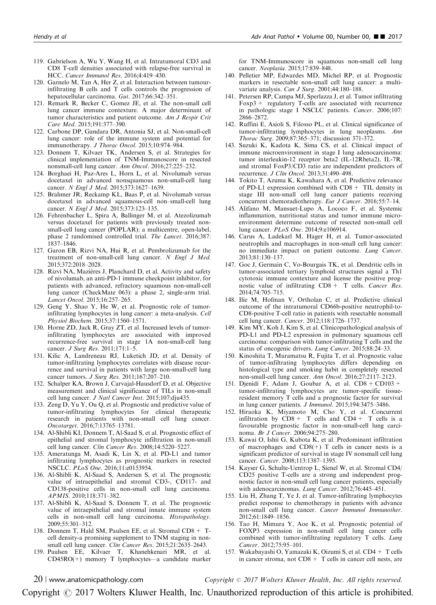- <span id="page-19-0"></span>119. Gabrielson A, Wu Y, Wang H, et al. Intratumoral CD3 and CD8 T-cell densities associated with relapse-free survival in HCC. Cancer Immunol Res. 2016;4:419–430.
- 120. Garnelo M, Tan A, Her Z, et al. Interaction between tumourinfiltrating B cells and T cells controls the progression of hepatocellular carcinoma. Gut. 2017;66:342–351.
- 121. Remark R, Becker C, Gomez JE, et al. The non-small cell lung cancer immune contexture. A major determinant of tumor characteristics and patient outcome. Am J Respir Crit Care Med. 2015;191:377–390.
- 122. Carbone DP, Gandara DR, Antonia SJ, et al. Non-small-cell lung cancer: role of the immune system and potential for immunotherapy. J Thorac Oncol. 2015;10:974–984.
- 123. Donnem T, Kilvaer TK, Andersen S, et al. Strategies for clinical implementation of TNM-Immunoscore in resected nonsmall-cell lung cancer. Ann Oncol. 2016;27:225–232.
- 124. Borghaei H, Paz-Ares L, Horn L, et al. Nivolumab versus docetaxel in advanced nonsquamous non-small-cell lung cancer. N Engl J Med. 2015;373:1627-1639.
- 125. Brahmer JR, Reckamp KL, Baas P, et al. Nivolumab versus docetaxel in advanced squamous-cell non–small-cell lung cancer. N Engl J Med. 2015;373:123-135.
- 126. Fehrenbacher L, Spira A, Ballinger M, et al. Atezolizumab versus docetaxel for patients with previously treated nonsmall-cell lung cancer (POPLAR): a multicentre, open-label, phase 2 randomised controlled trial. The Lancet. 2016;387: 1837–1846.
- 127. Garon EB, Rizvi NA, Hui R, et al. Pembrolizumab for the treatment of non-small-cell lung cancer. N Engl J Med. 2015;372:2018–2028.
- 128. Rizvi NA, Mazières J, Planchard D, et al. Activity and safety of nivolumab, an anti-PD-1 immune checkpoint inhibitor, for patients with advanced, refractory squamous non-small-cell lung cancer (CheckMate 063): a phase 2, single-arm trial. Lancet Oncol. 2015;16:257–265.
- 129. Geng Y, Shao Y, He W, et al. Prognostic role of tumorinfiltrating lymphocytes in lung cancer: a meta-analysis. Cell Physiol Biochem. 2015;37:1560–1571.
- 130. Horne ZD, Jack R, Gray ZT, et al. Increased levels of tumorinfiltrating lymphocytes are associated with improved recurrence-free survival in stage 1A non-small-cell lung cancer. *J Surg Res.* 2011;171:1-5.
- 131. Kilic A, Landreneau RJ, Luketich JD, et al. Density of tumor-infiltrating lymphocytes correlates with disease recurrence and survival in patients with large non-small-cell lung cancer tumors. J Surg Res. 2011;167:207–210.
- 132. Schalper KA, Brown J, Carvajal-Hausdorf D, et al. Objective measurement and clinical significance of TILs in non-small cell lung cancer. J Natl Cancer Inst. 2015;107:dju435.
- 133. Zeng D, Yu Y, Ou Q, et al. Prognostic and predictive value of tumor-infiltrating lymphocytes for clinical therapeutic research in patients with non-small cell lung cancer. Oncotarget. 2016;7:13765–13781.
- 134. Al-Shibli KI, Donnem T, Al-Saad S, et al. Prognostic effect of epithelial and stromal lymphocyte infiltration in non-small cell lung cancer. Clin Cancer Res. 2008;14:5220–5227.
- 135. Ameratunga M, Asadi K, Lin X, et al. PD-L1 and tumor infiltrating lymphocytes as prognostic markers in resected NSCLC. PLoS One. 2016;11:e0153954.
- 136. Al-Shibli K, Al-Saad S, Andersen S, et al. The prognostic value of intraepithelial and stromal CD3-, CD117- and CD138-positive cells in non-small cell lung carcinoma. APMIS. 2010;118:371–382.
- 137. Al-Shibli K, Al-Saad S, Donnem T, et al. The prognostic value of intraepithelial and stromal innate immune system cells in non-small cell lung carcinoma. Histopathology. 2009;55:301–312.
- 138. Donnem T, Hald SM, Paulsen EE, et al. Stromal CD8+ Tcell density-a promising supplement to TNM staging in nonsmall cell lung cancer. Clin Cancer Res. 2015;21:2635–2643.
- 139. Paulsen EE, Kilvaer T, Khanehkenari MR, et al. CD45RO(+) memory T lymphocytes—a candidate marker

for TNM-Immunoscore in squamous non-small cell lung cancer. Neoplasia. 2015;17:839–848.

- 140. Pelletier MP, Edwardes MD, Michel RP, et al. Prognostic markers in resectable non-small cell lung cancer: a multivariate analysis. Can J Surg. 2001;44:180-188.
- 141. Petersen RP, Campa MJ, Sperlazza J, et al. Tumor infiltrating  $F\text{o}xp3 + \text{regularo}y$  T-cells are associated with recurrence in pathologic stage I NSCLC patients. Cancer. 2006;107: 2866–2872.
- 142. Ruffini E, Asioli S, Filosso PL, et al. Clinical significance of tumor-infiltrating lymphocytes in lung neoplasms. Ann Thorac Surg. 2009;87:365–371; discussion 371-372.
- 143. Suzuki K, Kadota K, Sima CS, et al. Clinical impact of immune microenvironment in stage I lung adenocarcinoma: tumor interleukin-12 receptor beta2 (IL-12Rbeta2), IL-7R, and stromal FoxP3/CD3 ratio are independent predictors of recurrence. J Clin Oncol. 2013;31:490–498.
- 144. Tokito T, Azuma K, Kawahara A, et al. Predictive relevance of PD-L1 expression combined with  $CD8 + TIL$  density in stage III non-small cell lung cancer patients receiving concurrent chemoradiotherapy. Eur J Cancer. 2016;55:7–14.
- 145. Alifano M, Mansuet-Lupo A, Lococo F, et al. Systemic inflammation, nutritional status and tumor immune microenvironment determine outcome of resected non-small cell lung cancer. PLoS One. 2014;9:e106914.
- 146. Carus A, Ladekarl M, Hager H, et al. Tumor-associated neutrophils and macrophages in non-small cell lung cancer: no immediate impact on patient outcome. Lung Cancer. 2013;81:130–137.
- 147. Goc J, Germain C, Vo-Bourgais TK, et al. Dendritic cells in tumor-associated tertiary lymphoid structures signal a Th1 cytotoxic immune contexture and license the positive prognostic value of infiltrating  $CD8 + T$  cells. Cancer Res. 2014;74:705–715.
- 148. Ilie M, Hofman V, Ortholan C, et al. Predictive clinical outcome of the intratumoral CD66b-positive neutrophil-to-CD8-positive T-cell ratio in patients with resectable nonsmall cell lung cancer. Cancer. 2012;118:1726–1737.
- 149. Kim MY, Koh J, Kim S, et al. Clinicopathological analysis of PD-L1 and PD-L2 expression in pulmonary squamous cell carcinoma: comparison with tumor-infiltrating T cells and the status of oncogenic drivers. Lung Cancer. 2015;88:24–33.
- 150. Kinoshita T, Muramatsu R, Fujita T, et al. Prognostic value of tumor-infiltrating lymphocytes differs depending on histological type and smoking habit in completely resected non-small-cell lung cancer. Ann Oncol. 2016;27:2117–2123.
- 151. Djenidi F, Adam J, Goubar A, et al. CD8+ CD103+ tumor-infiltrating lymphocytes are tumor-specific tissueresident memory T cells and a prognostic factor for survival in lung cancer patients. J Immunol. 2015;194:3475–3486.
- 152. Hiraoka K, Miyamoto M, Cho Y, et al. Concurrent infiltration by  $CD8 + T$  cells and  $CD4 + T$  cells is a favourable prognostic factor in non-small-cell lung carcinoma. Br J Cancer. 2006;94:275–280.
- 153. Kawai O, Ishii G, Kubota K, et al. Predominant infiltration of macrophages and  $CD8(+)$  T cells in cancer nests is a significant predictor of survival in stage IV nonsmall cell lung cancer. Cancer. 2008;113:1387–1395.
- 154. Kayser G, Schulte-Uentrop L, Sienel W, et al. Stromal CD4/ CD25 positive T-cells are a strong and independent prognostic factor in non-small cell lung cancer patients, especially with adenocarcinomas. Lung Cancer. 2012;76:445–451.
- 155. Liu H, Zhang T, Ye J, et al. Tumor-infiltrating lymphocytes predict response to chemotherapy in patients with advance non-small cell lung cancer. Cancer Immunol Immunother. 2012;61:1849–1856.
- 156. Tao H, Mimura Y, Aoe K, et al. Prognostic potential of FOXP3 expression in non-small cell lung cancer cells combined with tumor-infiltrating regulatory T cells. Lung Cancer. 2012;75:95–101.
- 157. Wakabayashi O, Yamazaki K, Oizumi S, et al. CD4+ T cells in cancer stroma, not  $CD8 + T$  cells in cancer cell nests, are

 $20$  | www.anatomicpathology.com  $\hbox{Copyright} \, \circ \, 2017 \,\, Wolters$  Kluwer Health, Inc. All rights reserved.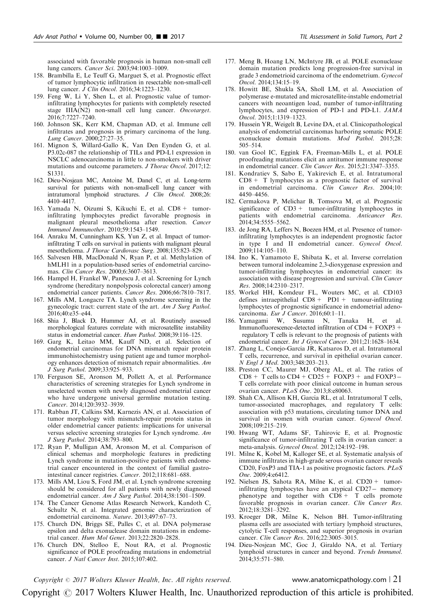<span id="page-20-0"></span>associated with favorable prognosis in human non-small cell lung cancers. Cancer Sci. 2003;94:1003–1009.

- 158. Brambilla E, Le Teuff G, Marguet S, et al. Prognostic effect of tumor lymphocytic infiltration in resectable non-small-cell lung cancer. J Clin Oncol. 2016;34:1223–1230.
- 159. Feng W, Li Y, Shen L, et al. Prognostic value of tumorinfiltrating lymphocytes for patients with completely resected stage IIIA(N2) non-small cell lung cancer. Oncotarget. 2016;7:7227–7240.
- 160. Johnson SK, Kerr KM, Chapman AD, et al. Immune cell infiltrates and prognosis in primary carcinoma of the lung. Lung Cancer. 2000;27:27–35.
- 161. Mignon S, Willard-Gallo K, Van Den Eynden G, et al. P3.02c-087 the relationship of TILs and PD-L1 expression in NSCLC adenocarcinoma in little to non-smokers with driver mutations and outcome parameters. J Thorac Oncol. 2017;12: S1331.
- 162. Dieu-Nosjean MC, Antoine M, Danel C, et al. Long-term survival for patients with non-small-cell lung cancer with intratumoral lymphoid structures. J Clin Oncol. 2008;26: 4410–4417.
- 163. Yamada N, Oizumi S, Kikuchi E, et al. CD8+ tumorinfiltrating lymphocytes predict favorable prognosis in malignant pleural mesothelioma after resection. Cancer Immunol Immunother. 2010;59:1543–1549.
- 164. Anraku M, Cunningham KS, Yun Z, et al. Impact of tumorinfiltrating T cells on survival in patients with malignant pleural mesothelioma. J Thorac Cardiovasc Surg. 2008;135:823–829.
- 165. Salvesen HB, MacDonald N, Ryan P, et al. Methylation of hMLH1 in a population-based series of endometrial carcinomas. Clin Cancer Res. 2000;6:3607–3613.
- 166. Hampel H, Frankel W, Panescu J, et al. Screening for Lynch syndrome (hereditary nonpolyposis colorectal cancer) among endometrial cancer patients. Cancer Res. 2006;66:7810–7817.
- 167. Mills AM, Longacre TA. Lynch syndrome screening in the gynecologic tract: current state of the art. Am J Surg Pathol. 2016;40:e35–e44.
- 168. Shia J, Black D, Hummer AJ, et al. Routinely assessed morphological features correlate with microsatellite instability status in endometrial cancer. Hum Pathol. 2008;39:116–125.
- 169. Garg K, Leitao MM, Kauff ND, et al. Selection of endometrial carcinomas for DNA mismatch repair protein immunohistochemistry using patient age and tumor morphology enhances detection of mismatch repair abnormalities. Am J Surg Pathol. 2009;33:925–933.
- 170. Ferguson SE, Aronson M, Pollett A, et al. Performance characteristics of screening strategies for Lynch syndrome in unselected women with newly diagnosed endometrial cancer who have undergone universal germline mutation testing. Cancer. 2014;120:3932–3939.
- 171. Rabban JT, Calkins SM, Karnezis AN, et al. Association of tumor morphology with mismatch-repair protein status in older endometrial cancer patients: implications for universal versus selective screening strategies for Lynch syndrome. Am J Surg Pathol. 2014;38:793–800.
- 172. Ryan P, Mulligan AM, Aronson M, et al. Comparison of clinical schemas and morphologic features in predicting Lynch syndrome in mutation-positive patients with endometrial cancer encountered in the context of familial gastrointestinal cancer registries. Cancer. 2012;118:681–688.
- 173. Mills AM, Liou S, Ford JM, et al. Lynch syndrome screening should be considered for all patients with newly diagnosed endometrial cancer. Am J Surg Pathol. 2014;38:1501-1509.
- 174. The Cancer Genome Atlas Research Network, Kandoth C, Schultz N, et al. Integrated genomic characterization of endometrial carcinoma. Nature. 2013;497:67–73.
- 175. Church DN, Briggs SE, Palles C, et al. DNA polymerase epsilon and delta exonuclease domain mutations in endometrial cancer. Hum Mol Genet. 2013;22:2820–2828.
- 176. Church DN, Stelloo E, Nout RA, et al. Prognostic significance of POLE proofreading mutations in endometrial cancer. J Natl Cancer Inst. 2015;107:402.
- 177. Meng B, Hoang LN, McIntyre JB, et al. POLE exonuclease domain mutation predicts long progression-free survival in grade 3 endometrioid carcinoma of the endometrium. Gynecol Oncol. 2014;134:15–19.
- 178. Howitt BE, Shukla SA, Sholl LM, et al. Association of polymerase e-mutated and microsatellite-instable endometrial cancers with neoantigen load, number of tumor-infiltrating lymphocytes, and expression of PD-1 and PD-L1. JAMA Oncol. 2015;1:1319–1323.
- 179. Hussein YR, Weigelt B, Levine DA, et al. Clinicopathological analysis of endometrial carcinomas harboring somatic POLE exonuclease domain mutations. Mod Pathol. 2015;28: 505–514.
- 180. van Gool IC, Eggink FA, Freeman-Mills L, et al. POLE proofreading mutations elicit an antitumor immune response in endometrial cancer. Clin Cancer Res. 2015;21:3347–3355.
- 181. Kondratiev S, Sabo E, Yakirevich E, et al. Intratumoral CD8 + T lymphocytes as a prognostic factor of survival in endometrial carcinoma. Clin Cancer Res. 2004;10: 4450–4456.
- 182. Cermakova P, Melichar B, Tomsova M, et al. Prognostic significance of CD3+ tumor-infiltrating lymphocytes in patients with endometrial carcinoma. Anticancer Res. 2014;34:5555–5562.
- 183. de Jong RA, Leffers N, Boezen HM, et al. Presence of tumorinfiltrating lymphocytes is an independent prognostic factor in type I and II endometrial cancer. Gynecol Oncol.  $2009:114:105-110$ .
- 184. Ino K, Yamamoto E, Shibata K, et al. Inverse correlation between tumoral indoleamine 2,3-dioxygenase expression and tumor-infiltrating lymphocytes in endometrial cancer: its association with disease progression and survival. Clin Cancer Res. 2008;14:2310–2317.
- 185. Workel HH, Komdeur FL, Wouters MC, et al. CD103 defines intraepithelial  $CD8 + PDI +$  tumour-infiltrating lymphocytes of prognostic significance in endometrial adenocarcinoma. Eur J Cancer. 2016;60:1–11.
- 186. Yamagami W, Susumu N, Tanaka H, et al. Immunofluorescence-detected infiltration of CD4+ FOXP3+ regulatory T cells is relevant to the prognosis of patients with endometrial cancer. Int J Gynecol Cancer. 2011;21:1628–1634.
- 187. Zhang L, Conejo-Garcia JR, Katsaros D, et al. Intratumoral T cells, recurrence, and survival in epithelial ovarian cancer. N Engl J Med. 2003;348:203–213.
- 188. Preston CC, Maurer MJ, Oberg AL, et al. The ratios of  $CD8 + T$  cells to  $CD4 + CD25 + FOXP3 +$  and  $FOXP3 -$ T cells correlate with poor clinical outcome in human serous ovarian cancer. PLoS One. 2013;8:e80063.
- 189. Shah CA, Allison KH, Garcia RL, et al. Intratumoral T cells, tumor-associated macrophages, and regulatory T cells: association with p53 mutations, circulating tumor DNA and survival in women with ovarian cancer. Gynecol Oncol. 2008;109:215–219.
- 190. Hwang WT, Adams SF, Tahirovic E, et al. Prognostic significance of tumor-infiltrating T cells in ovarian cancer: a meta-analysis. Gynecol Oncol. 2012;124:192–198.
- 191. Milne K, Kobel M, Kalloger SE, et al. Systematic analysis of immune infiltrates in high-grade serous ovarian cancer reveals CD20, FoxP3 and TIA-1 as positive prognostic factors. PLoS One. 2009;4:e6412.
- 192. Nielsen JS, Sahota RA, Milne K, et al. CD20+ tumorinfiltrating lymphocytes have an atypical  $CD27 -$  memory phenotype and together with  $CD8 + T$  cells promote favorable prognosis in ovarian cancer. Clin Cancer Res. 2012;18:3281–3292.
- 193. Kroeger DR, Milne K, Nelson BH. Tumor-infiltrating plasma cells are associated with tertiary lymphoid structures, cytolytic T-cell responses, and superior prognosis in ovarian cancer. Clin Cancer Res. 2016;22:3005–3015.
- 194. Dieu-Nosjean MC, Goc J, Giraldo NA, et al. Tertiary lymphoid structures in cancer and beyond. Trends Immunol. 2014;35:571–580.

Copyright  $\degree$  2017 Wolters Kluwer Health, Inc. All rights reserved. www.anatomicpathology.com | 21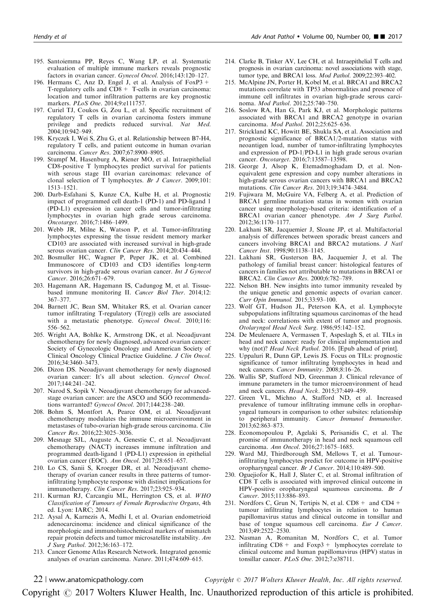- <span id="page-21-0"></span>195. Santoiemma PP, Reyes C, Wang LP, et al. Systematic evaluation of multiple immune markers reveals prognostic factors in ovarian cancer. Gynecol Oncol. 2016;143:120–127.
- 196. Hermans C, Anz D, Engel J, et al. Analysis of FoxP3+ T-regulatory cells and  $CD8 +$  T-cells in ovarian carcinoma: location and tumor infiltration patterns are key prognostic markers. PLoS One. 2014;9:e111757.
- 197. Curiel TJ, Coukos G, Zou L, et al. Specific recruitment of regulatory T cells in ovarian carcinoma fosters immune privilege and predicts reduced survival. Nat Med. 2004;10:942–949.
- 198. Kryczek I, Wei S, Zhu G, et al. Relationship between B7-H4, regulatory T cells, and patient outcome in human ovarian carcinoma. Cancer Res. 2007;67:8900–8905.
- 199. Stumpf M, Hasenburg A, Riener MO, et al. Intraepithelial CD8-positive T lymphocytes predict survival for patients with serous stage III ovarian carcinomas: relevance of clonal selection of T lymphocytes. Br J Cancer. 2009;101: 1513–1521.
- 200. Darb-Esfahani S, Kunze CA, Kulbe H, et al. Prognostic impact of programmed cell death-1 (PD-1) and PD-ligand 1 (PD-L1) expression in cancer cells and tumor-infiltrating lymphocytes in ovarian high grade serous carcinoma. Oncotarget. 2016;7:1486–1499.
- 201. Webb JR, Milne K, Watson P, et al. Tumor-infiltrating lymphocytes expressing the tissue resident memory marker CD103 are associated with increased survival in high-grade serous ovarian cancer. Clin Cancer Res. 2014;20:434–444.
- 202. Bosmuller HC, Wagner P, Peper JK, et al. Combined Immunoscore of CD103 and CD3 identifies long-term survivors in high-grade serous ovarian cancer. Int J Gynecol Cancer. 2016;26:671–679.
- 203. Hagemann AR, Hagemann IS, Cadungog M, et al. Tissuebased immune monitoring II. Cancer Biol Ther. 2014;12: 367–377.
- 204. Barnett JC, Bean SM, Whitaker RS, et al. Ovarian cancer tumor infiltrating T-regulatory (T(reg)) cells are associated with a metastatic phenotype. Gynecol Oncol. 2010;116: 556–562.
- 205. Wright AA, Bohlke K, Armstrong DK, et al. Neoadjuvant chemotherapy for newly diagnosed, advanced ovarian cancer: Society of Gynecologic Oncology and American Society of Clinical Oncology Clinical Practice Guideline. J Clin Oncol. 2016;34:3460–3473.
- 206. Dizon DS. Neoadjuvant chemotherapy for newly diagnosed ovarian cancer: It's all about selection. Gynecol Oncol. 2017;144:241–242.
- 207. Narod S, Sopik V. Neoadjuvant chemotherapy for advancedstage ovarian cancer: are the ASCO and SGO recommendations warranted? Gynecol Oncol. 2017;144:238–240.
- 208. Bohm S, Montfort A, Pearce OM, et al. Neoadjuvant chemotherapy modulates the immune microenvironment in metastases of tubo-ovarian high-grade serous carcinoma. Clin Cancer Res. 2016;22:3025–3036.
- 209. Mesnage SJL, Auguste A, Genestie C, et al. Neoadjuvant chemotherapy (NACT) increases immune infiltration and programmed death-ligand 1 (PD-L1) expression in epithelial ovarian cancer (EOC). Ann Oncol. 2017;28:651–657.
- 210. Lo CS, Sanii S, Kroeger DR, et al. Neoadjuvant chemotherapy of ovarian cancer results in three patterns of tumorinfiltrating lymphocyte response with distinct implications for immunotherapy. Clin Cancer Res. 2017;23:925–934.
- 211. Kurman RJ, Carcangiu ML, Herrington CS, et al. WHO Classification of Tumours of Female Reproductive Organs, 4th ed. Lyon: IARC; 2014.
- 212. Aysal A, Karnezis A, Medhi I, et al. Ovarian endometrioid adenocarcinoma: incidence and clinical significance of the morphologic and immunohistochemical markers of mismatch repair protein defects and tumor microsatellite instability. Am J Surg Pathol. 2012;36:163–172.
- 213. Cancer Genome Atlas Research Network. Integrated genomic analyses of ovarian carcinoma. Nature. 2011;474:609–615.
- 214. Clarke B, Tinker AV, Lee CH, et al. Intraepithelial T cells and prognosis in ovarian carcinoma: novel associations with stage, tumor type, and BRCA1 loss. Mod Pathol. 2009;22:393–402.
- 215. McAlpine JN, Porter H, Kobel M, et al. BRCA1 and BRCA2 mutations correlate with TP53 abnormalities and presence of immune cell infiltrates in ovarian high-grade serous carcinoma. Mod Pathol. 2012;25:740–750.
- 216. Soslow RA, Han G, Park KJ, et al. Morphologic patterns associated with BRCA1 and BRCA2 genotype in ovarian carcinoma. Mod Pathol. 2012;25:625–636.
- 217. Strickland KC, Howitt BE, Shukla SA, et al. Association and prognostic significance of BRCA1/2-mutation status with neoantigen load, number of tumor-infiltrating lymphocytes and expression of PD-1/PD-L1 in high grade serous ovarian cancer. Oncotarget. 2016;7:13587–13598.
- 218. George J, Alsop K, Etemadmoghadam D, et al. Nonequivalent gene expression and copy number alterations in high-grade serous ovarian cancers with BRCA1 and BRCA2 mutations. Clin Cancer Res. 2013;19:3474–3484.
- 219. Fujiwara M, McGuire VA, Felberg A, et al. Prediction of BRCA1 germline mutation status in women with ovarian cancer using morphology-based criteria: identification of a BRCA1 ovarian cancer phenotype. Am J Surg Pathol. 2012;36:1170–1177.
- 220. Lakhani SR, Jacquemier J, Sloane JP, et al. Multifactorial analysis of differences between sporadic breast cancers and cancers involving BRCA1 and BRCA2 mutations. J Natl Cancer Inst. 1998;90:1138–1145.
- 221. Lakhani SR, Gusterson BA, Jacquemier J, et al. The pathology of familial breast cancer: histological features of cancers in families not attributable to mutations in BRCA1 or BRCA2. Clin Cancer Res. 2000;6:782–789.
- 222. Nelson BH. New insights into tumor immunity revealed by the unique genetic and genomic aspects of ovarian cancer. Curr Opin Immunol. 2015;33:93–100.
- 223. Wolf GT, Hudson JL, Peterson KA, et al. Lymphocyte subpopulations infiltrating squamous carcinomas of the head and neck: correlations with extent of tumor and prognosis. Otolaryngol Head Neck Surg. 1986;95:142–152.
- 224. De Meulenaere A, Vermassen T, Aspeslagh S, et al. TILs in head and neck cancer: ready for clinical implementation and why (not)? Head Neck Pathol. 2016. [Epub ahead of print].
- 225. Uppaluri R, Dunn GP, Lewis JS. Focus on TILs: prognostic significance of tumor infiltrating lymphocytes in head and neck cancers. Cancer Immunity. 2008;8:16-26.
- 226. Wallis SP, Stafford ND, Greenman J. Clinical relevance of immune parameters in the tumor microenvironment of head and neck cancers. Head Neck. 2015;37:449–459.
- 227. Green VL, Michno A, Stafford ND, et al. Increased prevalence of tumour infiltrating immune cells in oropharyngeal tumours in comparison to other subsites: relationship to peripheral immunity. Cancer Immunol Immunother. 2013;62:863–873.
- 228. Economopoulou P, Agelaki S, Perisanidis C, et al. The promise of immunotherapy in head and neck squamous cell carcinoma. Ann Oncol. 2016;27:1675–1685.
- 229. Ward MJ, Thirdborough SM, Mellows T, et al. Tumourinfiltrating lymphocytes predict for outcome in HPV-positive oropharyngeal cancer. Br J Cancer. 2014;110:489–500.
- 230. Oguejiofor K, Hall J, Slater C, et al. Stromal infiltration of CD8 T cells is associated with improved clinical outcome in HPV-positive oropharyngeal squamous carcinoma. Br J Cancer. 2015;113:886–893.
- 231. Nordfors C, Grun N, Tertipis N, et al.  $CD8 +$  and  $CD4 +$ tumour infiltrating lymphocytes in relation to human papillomavirus status and clinical outcome in tonsillar and base of tongue squamous cell carcinoma. Eur J Cancer. 2013;49:2522–2530.
- 232. Nasman A, Romanitan M, Nordfors C, et al. Tumor infiltrating  $CD8 +$  and  $Foxp3 +$  lymphocytes correlate to clinical outcome and human papillomavirus (HPV) status in tonsillar cancer. PLoS One. 2012;7:e38711.

 $22$  | www.anatomicpathology.com  $\qquad \qquad \qquad \qquad$   $\qquad \qquad$  Copyright  $\odot$  2017 Wolters Kluwer Health, Inc. All rights reserved.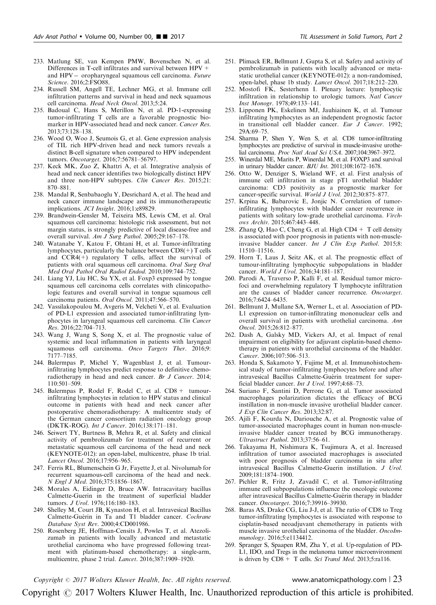- <span id="page-22-0"></span>233. Matlung SE, van Kempen PMW, Bovenschen N, et al. Differences in T-cell infiltrates and survival between HPV + and HPV- oropharyngeal squamous cell carcinoma. Future Science. 2016;2:FSO88.
- 234. Russell SM, Angell TE, Lechner MG, et al. Immune cell infiltration patterns and survival in head and neck squamous cell carcinoma. Head Neck Oncol. 2013;5:24.
- 235. Badoual C, Hans S, Merillon N, et al. PD-1-expressing tumor-infiltrating T cells are a favorable prognostic biomarker in HPV-associated head and neck cancer. Cancer Res. 2013;73:128–138.
- 236. Wood O, Woo J, Seumois G, et al. Gene expression analysis of TIL rich HPV-driven head and neck tumors reveals a distinct B-cell signature when compared to HPV independent tumors. Oncotarget. 2016;7:56781–56797.
- 237. Keck MK, Zuo Z, Khattri A, et al. Integrative analysis of head and neck cancer identifies two biologically distinct HPV and three non-HPV subtypes. Clin Cancer Res. 2015;21: 870–881.
- 238. Mandal R, Senbabaoglu Y, Desrichard A, et al. The head and neck cancer immune landscape and its immunotherapeutic implications. JCI Insight. 2016;1:e89829.
- 239. Brandwein-Gensler M, Teixeira MS, Lewis CM, et al. Oral squamous cell carcinoma: histologic risk assessment, but not margin status, is strongly predictive of local disease-free and overall survival. Am J Surg Pathol. 2005;29:167–178.
- 240. Watanabe Y, Katou F, Ohtani H, et al. Tumor-infiltrating lymphocytes, particularly the balance between CD8(+) T cells and  $CCR4(+)$  regulatory T cells, affect the survival of patients with oral squamous cell carcinoma. Oral Surg Oral Med Oral Pathol Oral Radiol Endod. 2010;109:744–752.
- 241. Liang YJ, Liu HC, Su YX, et al. Foxp3 expressed by tongue squamous cell carcinoma cells correlates with clinicopathologic features and overall survival in tongue squamous cell carcinoma patients. Oral Oncol. 2011;47:566–570.
- 242. Vassilakopoulou M, Avgeris M, Velcheti V, et al. Evaluation of PD-L1 expression and associated tumor-infiltrating lymphocytes in laryngeal squamous cell carcinoma. Clin Cancer Res. 2016;22:704–713.
- 243. Wang J, Wang S, Song X, et al. The prognostic value of systemic and local inflammation in patients with laryngeal squamous cell carcinoma. Onco Targets Ther. 2016;9: 7177–7185.
- 244. Balermpas P, Michel Y, Wagenblast J, et al. Tumourinfiltrating lymphocytes predict response to definitive chemoradiotherapy in head and neck cancer. Br J Cancer. 2014;  $110.501 - 509$
- 245. Balermpas P, Rodel F, Rodel C, et al. CD8 + tumourinfiltrating lymphocytes in relation to HPV status and clinical outcome in patients with head and neck cancer after postoperative chemoradiotherapy: A multicentre study of the German cancer consortium radiation oncology group (DKTK-ROG). Int J Cancer. 2016;138:171–181.
- 246. Seiwert TY, Burtness B, Mehra R, et al. Safety and clinical activity of pembrolizumab for treatment of recurrent or metastatic squamous cell carcinoma of the head and neck (KEYNOTE-012): an open-label, multicentre, phase 1b trial. Lancet Oncol. 2016;17:956–965.
- 247. Ferris RL, Blumenschein G Jr, Fayette J, et al. Nivolumab for recurrent squamous-cell carcinoma of the head and neck. N Engl J Med. 2016;375:1856–1867.
- 248. Morales A, Eidinger D, Bruce AW. Intracavitary bacillus Calmette-Guerin in the treatment of superficial bladder tumors. J Urol. 1976;116:180–183.
- 249. Shelley M, Court JB, Kynaston H, et al. Intravesical Bacillus Calmette-Guerin in Ta and T1 bladder cancer. Cochrane Database Syst Rev. 2000;4:CD001986.
- 250. Rosenberg JE, Hoffman-Censits J, Powles T, et al. Atezolizumab in patients with locally advanced and metastatic urothelial carcinoma who have progressed following treatment with platinum-based chemotherapy: a single-arm, multicentre, phase 2 trial. Lancet. 2016;387:1909–1920.
- 251. Plimack ER, Bellmunt J, Gupta S, et al. Safety and activity of pembrolizumab in patients with locally advanced or metastatic urothelial cancer (KEYNOTE-012): a non-randomised, open-label, phase 1b study. Lancet Oncol. 2017;18:212–220.
- 252. Mostofi FK, Sesterhenn I. Plenary lecture: lymphocytic infiltration in relationship to urologic tumors. Natl Cancer Inst Monogr. 1978;49:133–141.
- 253. Lipponen PK, Eskelinen MJ, Jauhiainen K, et al. Tumour infiltrating lymphocytes as an independent prognostic factor in transitional cell bladder cancer. Eur J Cancer. 1992; 29A:69–75.
- 254. Sharma P, Shen Y, Wen S, et al. CD8 tumor-infiltrating lymphocytes are predictive of survival in muscle-invasive urothelial carcinoma. Proc Natl Acad Sci USA. 2007;104:3967–3972.
- 255. Winerdal ME, Marits P, Winerdal M, et al. FOXP3 and survival in urinary bladder cancer. BJU Int. 2011;108:1672–1678.
- 256. Otto W, Denziger S, Wieland WF, et al. First analysis of immune cell infiltration in stage pT1 urothelial bladder carcinoma: CD3 positivity as a prognostic marker for cancer-specific survival. World J Urol. 2012;30:875-877.
- 257. Krpina K, Babarovic E, Jonjic N. Correlation of tumorinfiltrating lymphocytes with bladder cancer recurrence in patients with solitary low-grade urothelial carcinoma. Virchows Archiv. 2015;467:443–448.
- 258. Zhang Q, Hao C, Cheng G, et al. High  $CD4 + T$  cell density is associated with poor prognosis in patients with non-muscleinvasive bladder cancer. Int J Clin Exp Pathol. 2015;8: 11510–11516.
- 259. Horn T, Laus J, Seitz AK, et al. The prognostic effect of tumour-infiltrating lymphocytic subpopulations in bladder cancer. World J Urol. 2016;34:181–187.
- 260. Parodi A, Traverso P, Kalli F, et al. Residual tumor microfoci and overwhelming regulatory T lymphocyte infiltration are the causes of bladder cancer recurrence. Oncotarget. 2016;7:6424–6435.
- 261. Bellmunt J, Mullane SA, Werner L, et al. Association of PD-L1 expression on tumor-infiltrating mononuclear cells and overall survival in patients with urothelial carcinoma. Ann Oncol. 2015;26:812–877.
- 262. Dash A, Galsky MD, Vickers AJ, et al. Impact of renal impairment on eligibility for adjuvant cisplatin-based chemotherapy in patients with urothelial carcinoma of the bladder. Cancer. 2006;107:506–513.
- 263. Honda S, Sakamoto Y, Fujime M, et al. Immunohistochemical study of tumor-infiltrating lymphocytes before and after intravesical Bacillus Calmette-Guérin treatment for superficial bladder cancer. Int J Urol. 1997;4:68–73.
- 264. Suriano F, Santini D, Perrone G, et al. Tumor associated macrophages polarization dictates the efficacy of BCG instillation in non-muscle invasive urothelial bladder cancer. J Exp Clin Cancer Res. 2013;32:87.
- 265. Ajili F, Kourda N, Dariouche A, et al. Prognostic value of tumor-associated macrophages count in human non-muscleinvasive bladder cancer treated by BCG immunotherapy. Ultrastruct Pathol. 2013;37:56–61.
- 266. Takayama H, Nishimura K, Tsujimura A, et al. Increased infiltration of tumor associated macrophages is associated with poor prognosis of bladder carcinoma in situ after intravesical Bacillus Calmette-Guerin instillation. J Urol. 2009;181:1874–1900.
- 267. Pichler R, Fritz J, Zavadil C, et al. Tumor-infiltrating immune cell subpopulations influence the oncologic outcome after intravesical Bacillus Calmette-Guérin therapy in bladder cancer. Oncotarget. 2016;7:39916–39930.
- 268. Baras AS, Drake CG, Liu J-J, et al. The ratio of CD8 to Treg tumor-infiltrating lymphocytes is associated with response to cisplatin-based neoadjuvant chemotherapy in patients with muscle invasive urothelial carcinoma of the bladder. OncoImmunology. 2016;5:e1134412.
- 269. Spranger S, Spaapen RM, Zha Y, et al. Up-regulation of PD-L1, IDO, and Tregs in the melanoma tumor microenvironment is driven by  $CDS + T$  cells. Sci Transl Med. 2013;5:ra116.

Copyright  $\degree$  2017 Wolters Kluwer Health, Inc. All rights reserved. www.anatomicpathology.com | 23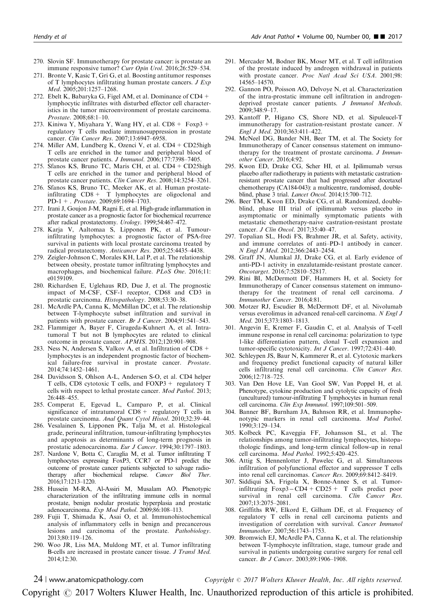- <span id="page-23-0"></span>270. Slovin SF. Immunotherapy for prostate cancer: is prostate an immune responsive tumor? Curr Opin Urol. 2016;26:529-534.
- 271. Bronte V, Kasic T, Gri G, et al. Boosting antitumor responses of T lymphocytes infiltrating human prostate cancers. J Exp Med. 2005;201:1257–1268.
- 272. Ebelt K, Babaryka G, Figel AM, et al. Dominance of CD4 + lymphocytic infiltrates with disturbed effector cell characteristics in the tumor microenvironment of prostate carcinoma. Prostate. 2008;68:1–10.
- 273. Kiniwa Y, Miyahara Y, Wang HY, et al.  $CD8 + Foxp3 +$ regulatory T cells mediate immunosuppression in prostate cancer. Clin Cancer Res. 2007;13:6947–6958.
- 274. Miller AM, Lundberg K, Ozenci V, et al. CD4+ CD25high T cells are enriched in the tumor and peripheral blood of prostate cancer patients. J Immunol. 2006;177:7398-7405.
- 275. Sfanos KS, Bruno TC, Maris CH, et al. CD4+ CD25high T cells are enriched in the tumor and peripheral blood of prostate cancer patients. Clin Cancer Res. 2008;14:3254-3261.
- 276. Sfanos KS, Bruno TC, Meeker AK, et al. Human prostateinfiltrating  $CD8 + T$  lymphocytes are oligoclonal and PD-1+ . Prostate. 2009;69:1694–1703.
- 277. Irani J, Goujon J-M, Ragni E, et al. High-grade inflammation in prostate cancer as a prognostic factor for biochemical recurrence after radical prostatectomy. Urology. 1999;54:467–472.
- 278. Karja V, Aaltomaa S, Lipponen PK, et al. Tumourinfiltrating lymphocytes: a prognostic factor of PSA-free survival in patients with local prostate carcinoma treated by radical prostatectomy. Anticancer Res. 2005;25:4435–4438.
- 279. Zeigler-Johnson C, Morales KH, Lal P, et al. The relationship between obesity, prostate tumor infiltrating lymphocytes and macrophages, and biochemical failure. PLoS One. 2016;11: e0159109.
- 280. Richardsen E, Uglehaus RD, Due J, et al. The prognostic impact of M-CSF, CSF-1 receptor, CD68 and CD3 in prostatic carcinoma. Histopathology. 2008;53:30–38.
- 281. McArdle PA, Canna K, McMillan DC, et al. The relationship between T-lymphocyte subset infiltration and survival in patients with prostate cancer. Br J Cancer. 2004;91:541-543.
- 282. Flammiger A, Bayer F, Cirugeda-Kuhnert A, et al. Intratumoral T but not B lymphocytes are related to clinical outcome in prostate cancer. APMIS. 2012;120:901–908.
- 283. Ness N, Andersen S, Valkov A, et al. Infiltration of CD8+ lymphocytes is an independent prognostic factor of biochemical failure-free survival in prostate cancer. Prostate. 2014;74:1452–1461.
- 284. Davidsson S, Ohlson A-L, Andersen S-O, et al. CD4 helper T cells, CD8 cytotoxic T cells, and FOXP3 + regulatory T cells with respect to lethal prostate cancer. Mod Pathol. 2013; 26:448–455.
- 285. Comperat E, Egevad L, Camparo P, et al. Clinical significance of intratumoral  $CD8 +$  regulatory T cells in prostate carcinoma. Anal Quant Cytol Histol. 2010;32:39-44.
- 286. Vesalainen S, Lipponen PK, Talja M, et al. Histological grade, perineural infiltration, tumour-infiltrating lymphocytes and apoptosis as determinants of long-term prognosis in prostatic adenocarcinoma. Eur J Cancer. 1994;30:1797-1803.
- 287. Nardone V, Botta C, Caraglia M, et al. Tumor infiltrating T lymphocytes expressing FoxP3, CCR7 or PD-1 predict the outcome of prostate cancer patients subjected to salvage radiotherapy after biochemical relapse. Cancer Biol Ther. 2016;17:1213–1220.
- 288. Hussein M-RA, Al-Assiri M, Musalam AO. Phenotypic characterization of the infiltrating immune cells in normal prostate, benign nodular prostatic hyperplasia and prostatic adenocarcinoma. Exp Mod Pathol. 2009;86:108–113.
- 289. Fujii T, Shimada K, Asai O, et al. Immunohistochemical analysis of inflammatory cells in benign and precancerous lesions and carcinoma of the prostate. Pathobiology. 2013;80:119–126.
- 290. Woo JR, Liss MA, Muldong MT, et al. Tumor infiltrating B-cells are increased in prostate cancer tissue. J Transl Med. 2014;12:30.
- 291. Mercader M, Bodner BK, Moser MT, et al. T cell infiltration of the prostate induced by androgen withdrawal in patients with prostate cancer. Proc Natl Acad Sci USA. 2001;98: 14565–14570.
- 292. Gannon PO, Poisson AO, Delvoye N, et al. Characterization of the intra-prostatic immune cell infiltration in androgendeprived prostate cancer patients. J Immunol Methods. 2009;348:9–17.
- 293. Kantoff P, Higano CS, Shore ND, et al. Sipuleucel-T immunotherapy for castration-resistant prostate cancer. N Engl J Med. 2010;363:411–422.
- 294. McNeel DG, Bander NH, Beer TM, et al. The Society for Immunotherapy of Cancer consensus statement on immunotherapy for the treatment of prostate carcinoma. *J Immun*other Cancer. 2016;4:92.
- 295. Kwon ED, Drake CG, Scher HI, et al. Ipilimumab versus placebo after radiotherapy in patients with metastatic castrationresistant prostate cancer that had progressed after docetaxel chemotherapy (CA184-043): a multicentre, randomised, doubleblind, phase 3 trial. Lancet Oncol. 2014;15:700–712.
- 296. Beer TM, Kwon ED, Drake CG, et al. Randomized, doubleblind, phase III trial of ipilimumab versus placebo in asymptomatic or minimally symptomatic patients with metastatic chemotherapy-naive castration-resistant prostate cancer. J Clin Oncol. 2017;35:40-47.
- 297. Topalian SL, Hodi FS, Brahmer JR, et al. Safety, activity, and immune correlates of anti–PD-1 antibody in cancer. N Engl J Med. 2012;366:2443–2454.
- 298. Graff JN, Alumkal JJ, Drake CG, et al. Early evidence of anti-PD-1 activity in enzalutamide-resistant prostate cancer. Oncotarget. 2016;7:52810–52817.
- 299. Rini BI, McDermott DF, Hammers H, et al. Society for Immunotherapy of Cancer consensus statement on immunotherapy for the treatment of renal cell carcinoma. J Immunother Cancer. 2016;4:81.
- 300. Motzer RJ, Escudier B, McDermott DF, et al. Nivolumab versus everolimus in advanced renal-cell carcinoma. N Engl J Med. 2015;373:1803–1813.
- 301. Angevin E, Kremer F, Gaudin C, et al. Analysis of T-cell immune response in renal cell carcinoma: polarization to type 1-like differentiation pattern, clonal T-cell expansion and tumor-specific cytotoxicity. Int J Cancer. 1997;72:431-440.
- 302. Schleypen JS, Baur N, Kammerer R, et al. Cytotoxic markers and frequency predict functional capacity of natural killer cells infiltrating renal cell carcinoma. Clin Cancer Res. 2006;12:718–725.
- 303. Van Den Hove LE, Van Gool SW, Van Poppel H, et al. Phenotype, cytokine production and cytolytic capacity of fresh (uncultured) tumour-infiltrating T lymphocytes in human renal cell carcinoma. Clin Exp Immunol. 1997;109:501–509.
- 304. Banner BF, Burnham JA, Bahnson RR, et al. Immunophenotypic markers in renal cell carcinoma. Mod Pathol. 1990;3:129–134.
- 305. Kolbeck PC, Kaveggia FF, Johansson SL, et al. The relationships among tumor-infiltrating lymphocytes, histopathologic findings, and long-term clinical follow-up in renal cell carcinoma. Mod Pathol. 1992;5:420–425.
- 306. Attig S, Hennenlotter J, Pawelec G, et al. Simultaneous infiltration of polyfunctional effector and suppressor T cells into renal cell carcinomas. Cancer Res. 2009;69:8412–8419.
- 307. Siddiqui SA, Frigola X, Bonne-Annee S, et al. Tumorinfiltrating  $Foxp3-CD4+CD25+T$  cells predict poor survival in renal cell carcinoma. Clin Cancer Res. 2007;13:2075–2081.
- 308. Griffiths RW, Elkord E, Gilham DE, et al. Frequency of regulatory T cells in renal cell carcinoma patients and investigation of correlation with survival. Cancer Immunol Immunother. 2007;56:1743–1753.
- 309. Bromwich EJ, McArdle PA, Canna K, et al. The relationship between T-lymphocyte infiltration, stage, tumour grade and survival in patients undergoing curative surgery for renal cell cancer. Br J Cancer. 2003;89:1906–1908.

 $24$  | www.anatomicpathology.com  $\qquad \qquad \qquad \qquad$   $\qquad \qquad$  Copyright  $\odot$  2017 Wolters Kluwer Health, Inc. All rights reserved.